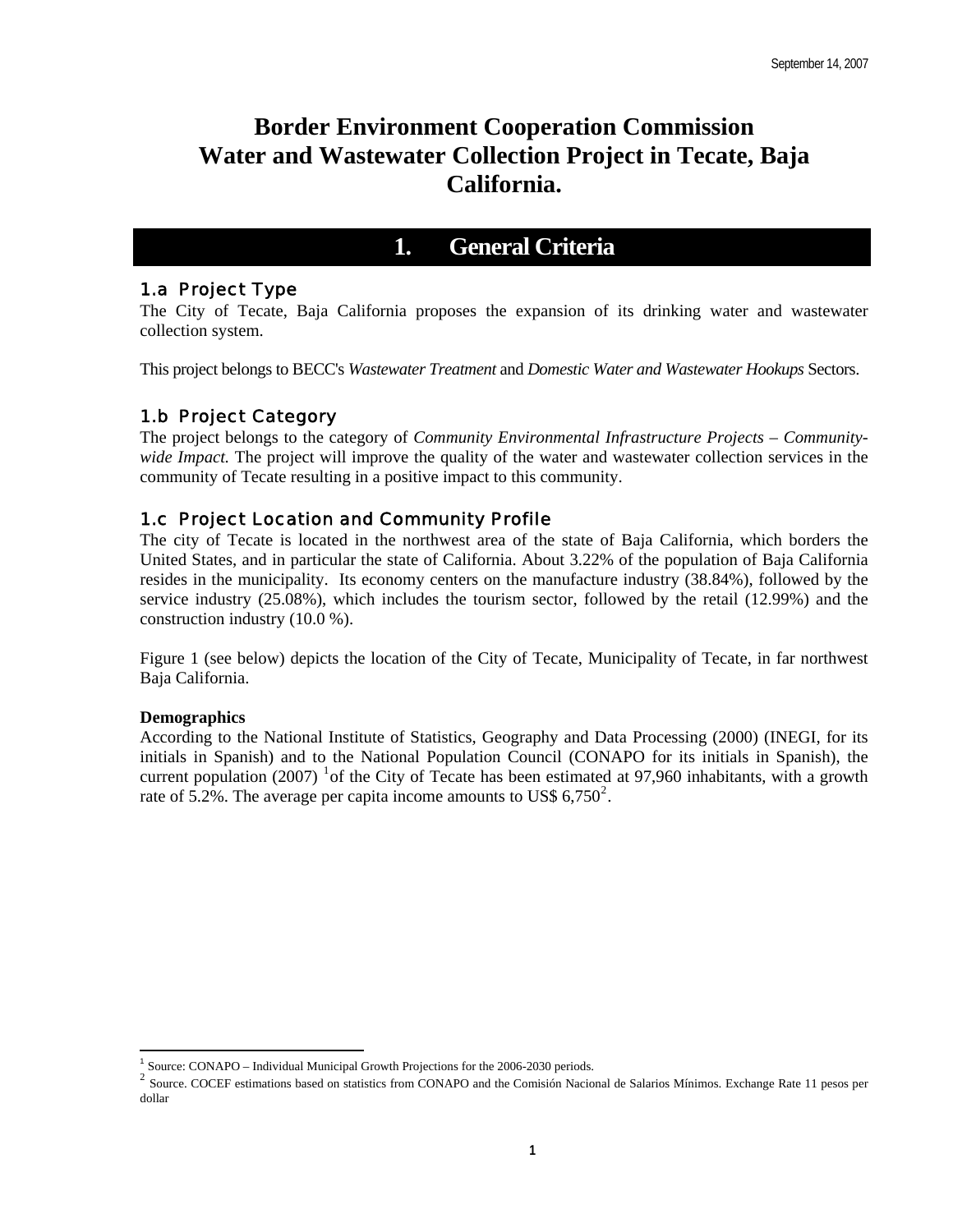# **Border Environment Cooperation Commission Water and Wastewater Collection Project in Tecate, Baja California.**

# **1. General Criteria**

# 1.a Project Type

The City of Tecate, Baja California proposes the expansion of its drinking water and wastewater collection system.

This project belongs to BECC's *Wastewater Treatment* and *Domestic Water and Wastewater Hookups* Sectors.

# 1.b Project Category

The project belongs to the category of *Community Environmental Infrastructure Projects – Communitywide Impact.* The project will improve the quality of the water and wastewater collection services in the community of Tecate resulting in a positive impact to this community.

# 1.c Project Location and Community Profile

The city of Tecate is located in the northwest area of the state of Baja California, which borders the United States, and in particular the state of California. About 3.22% of the population of Baja California resides in the municipality. Its economy centers on the manufacture industry (38.84%), followed by the service industry (25.08%), which includes the tourism sector, followed by the retail (12.99%) and the construction industry (10.0 %).

Figure 1 (see below) depicts the location of the City of Tecate, Municipality of Tecate, in far northwest Baja California.

## **Demographics**

 $\overline{a}$ 

According to the National Institute of Statistics, Geography and Data Processing (2000) (INEGI, for its initials in Spanish) and to the National Population Council (CONAPO for its initials in Spanish), the current population (2007) <sup>[1](#page-0-0)</sup> of the City of Tecate has been estimated at 97,960 inhabitants, with a growth rate of 5.[2](#page-0-1)%. The average per capita income amounts to US\$ 6,750<sup>2</sup>.

<span id="page-0-1"></span><span id="page-0-0"></span><sup>&</sup>lt;sup>1</sup> Source: CONAPO – Individual Municipal Growth Projections for the 2006-2030 periods.<br><sup>2</sup> Source. COCEF estimations based on statistics from CONAPO and the Comisión Nacional de Salarios Mínimos. Exchange Rate 11 pesos pe dollar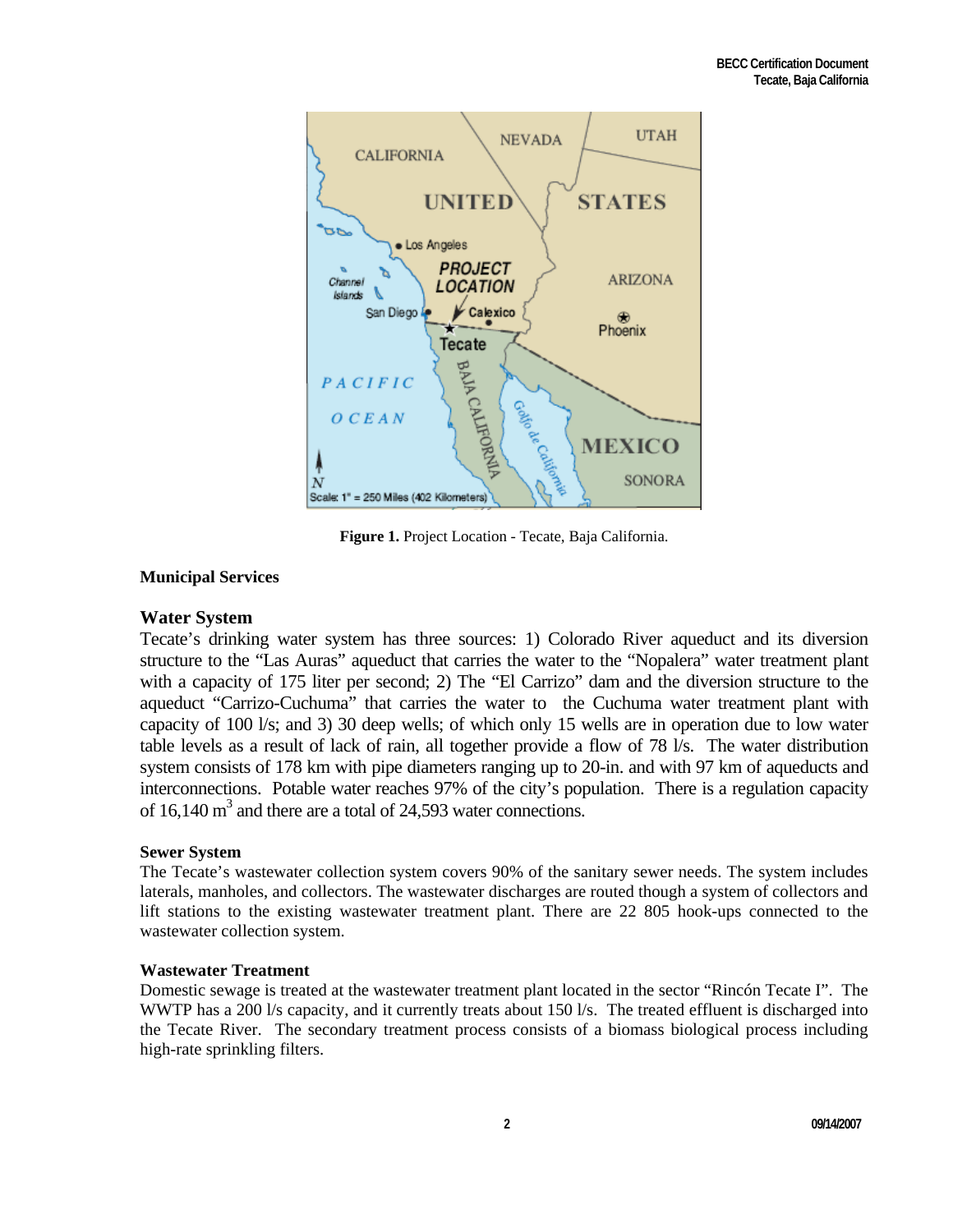

**Figure 1.** Project Location - Tecate, Baja California.

# **Municipal Services**

# **Water System**

Tecate's drinking water system has three sources: 1) Colorado River aqueduct and its diversion structure to the "Las Auras" aqueduct that carries the water to the "Nopalera" water treatment plant with a capacity of 175 liter per second; 2) The "El Carrizo" dam and the diversion structure to the aqueduct "Carrizo-Cuchuma" that carries the water to the Cuchuma water treatment plant with capacity of 100 l/s; and 3) 30 deep wells; of which only 15 wells are in operation due to low water table levels as a result of lack of rain, all together provide a flow of 78 l/s. The water distribution system consists of 178 km with pipe diameters ranging up to 20-in. and with 97 km of aqueducts and interconnections. Potable water reaches 97% of the city's population. There is a regulation capacity of  $16,140 \text{ m}^3$  and there are a total of 24,593 water connections.

## **Sewer System**

The Tecate's wastewater collection system covers 90% of the sanitary sewer needs. The system includes laterals, manholes, and collectors. The wastewater discharges are routed though a system of collectors and lift stations to the existing wastewater treatment plant. There are 22 805 hook-ups connected to the wastewater collection system.

## **Wastewater Treatment**

Domestic sewage is treated at the wastewater treatment plant located in the sector "Rincón Tecate I". The WWTP has a 200 l/s capacity, and it currently treats about 150 l/s. The treated effluent is discharged into the Tecate River. The secondary treatment process consists of a biomass biological process including high-rate sprinkling filters.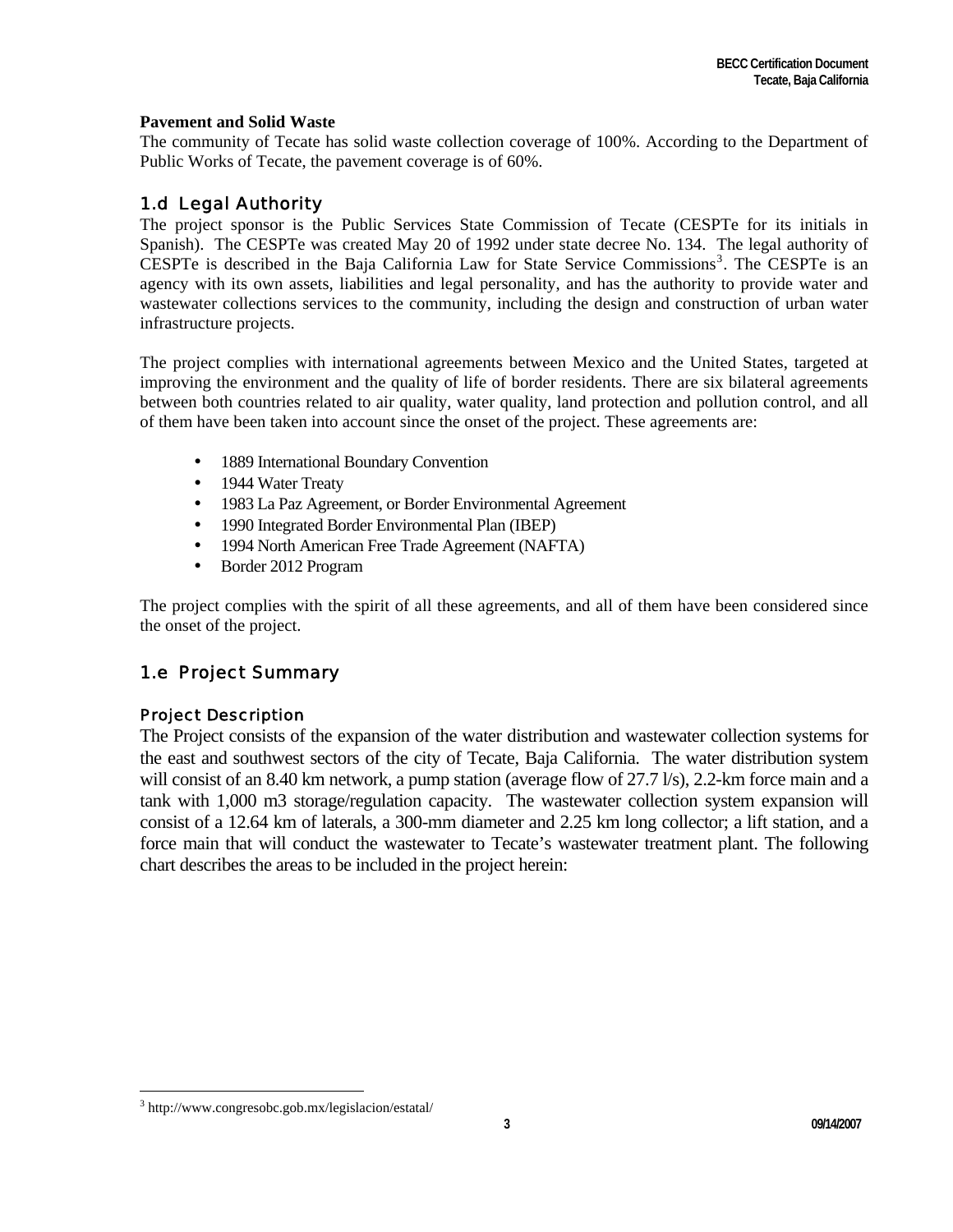## **Pavement and Solid Waste**

The community of Tecate has solid waste collection coverage of 100%. According to the Department of Public Works of Tecate, the pavement coverage is of 60%.

# 1.d Legal Authority

The project sponsor is the Public Services State Commission of Tecate (CESPTe for its initials in Spanish). The CESPTe was created May 20 of 1992 under state decree No. 134. The legal authority of CESPTe is described in the Baja California Law for State Service Commissions<sup>[3](#page-2-0)</sup>. The CESPTe is an agency with its own assets, liabilities and legal personality, and has the authority to provide water and wastewater collections services to the community, including the design and construction of urban water infrastructure projects.

The project complies with international agreements between Mexico and the United States, targeted at improving the environment and the quality of life of border residents. There are six bilateral agreements between both countries related to air quality, water quality, land protection and pollution control, and all of them have been taken into account since the onset of the project. These agreements are:

- 1889 International Boundary Convention
- 1944 Water Treaty
- 1983 La Paz Agreement, or Border Environmental Agreement
- 1990 Integrated Border Environmental Plan (IBEP)
- 1994 North American Free Trade Agreement (NAFTA)
- Border 2012 Program

The project complies with the spirit of all these agreements, and all of them have been considered since the onset of the project.

# 1.e Project Summary

# Project Description

The Project consists of the expansion of the water distribution and wastewater collection systems for the east and southwest sectors of the city of Tecate, Baja California. The water distribution system will consist of an 8.40 km network, a pump station (average flow of 27.7 l/s), 2.2-km force main and a tank with 1,000 m3 storage/regulation capacity. The wastewater collection system expansion will consist of a 12.64 km of laterals, a 300-mm diameter and 2.25 km long collector; a lift station, and a force main that will conduct the wastewater to Tecate's wastewater treatment plant. The following chart describes the areas to be included in the project herein:

 $\overline{a}$ 

<span id="page-2-0"></span><sup>&</sup>lt;sup>3</sup> http://www.congresobc.gob.mx/legislacion/estatal/ 3<br>
3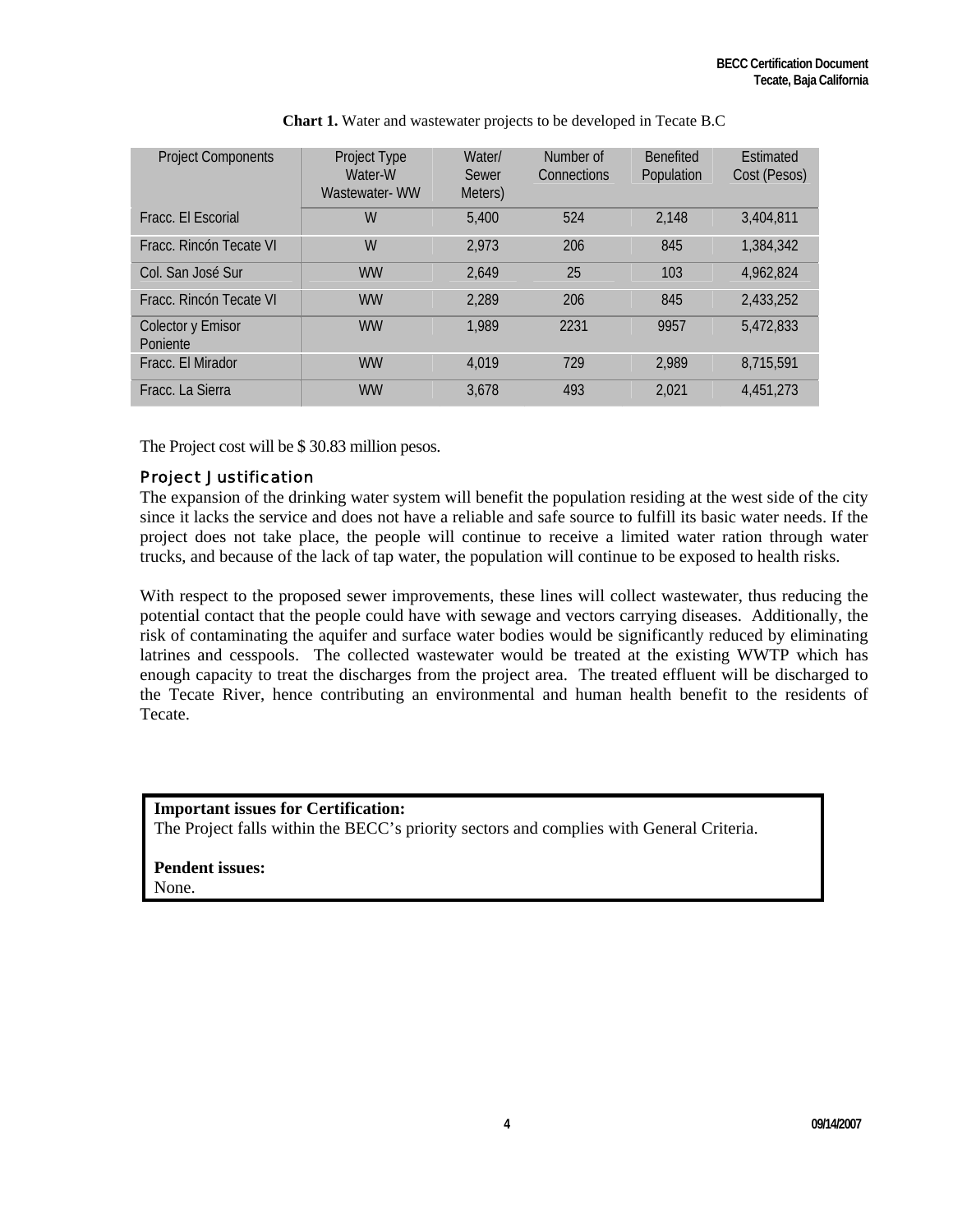| <b>Project Components</b>     | Project Type<br>Water-W<br>Wastewater-WW | Water/<br>Sewer<br>Meters) | Number of<br>Connections | <b>Benefited</b><br>Population | <b>Fstimated</b><br>Cost (Pesos) |
|-------------------------------|------------------------------------------|----------------------------|--------------------------|--------------------------------|----------------------------------|
| Fracc. El Escorial            | W                                        | 5,400                      | 524                      | 2.148                          | 3.404.811                        |
| Fracc. Rincón Tecate VI       | W                                        | 2,973                      | 206                      | 845                            | 1,384,342                        |
| Col. San José Sur             | <b>WW</b>                                | 2.649                      | 25                       | 103                            | 4.962.824                        |
| Fracc. Rincón Tecate VI       | <b>WW</b>                                | 2,289                      | 206                      | 845                            | 2,433,252                        |
| Colector y Emisor<br>Poniente | <b>WW</b>                                | 1,989                      | 2231                     | 9957                           | 5,472,833                        |
| Fracc. El Mirador             | <b>WW</b>                                | 4.019                      | 729                      | 2,989                          | 8,715,591                        |
| Fracc. La Sierra              | <b>WW</b>                                | 3.678                      | 493                      | 2,021                          | 4.451.273                        |

|  | <b>Chart 1.</b> Water and was tewater projects to be developed in Tecate B.C |
|--|------------------------------------------------------------------------------|
|--|------------------------------------------------------------------------------|

The Project cost will be \$ 30.83 million pesos.

# Project Justification

The expansion of the drinking water system will benefit the population residing at the west side of the city since it lacks the service and does not have a reliable and safe source to fulfill its basic water needs. If the project does not take place, the people will continue to receive a limited water ration through water trucks, and because of the lack of tap water, the population will continue to be exposed to health risks.

With respect to the proposed sewer improvements, these lines will collect wastewater, thus reducing the potential contact that the people could have with sewage and vectors carrying diseases. Additionally, the risk of contaminating the aquifer and surface water bodies would be significantly reduced by eliminating latrines and cesspools. The collected wastewater would be treated at the existing WWTP which has enough capacity to treat the discharges from the project area. The treated effluent will be discharged to the Tecate River, hence contributing an environmental and human health benefit to the residents of Tecate.

# **Important issues for Certification:**  The Project falls within the BECC's priority sectors and complies with General Criteria.

#### **Pendent issues:** None.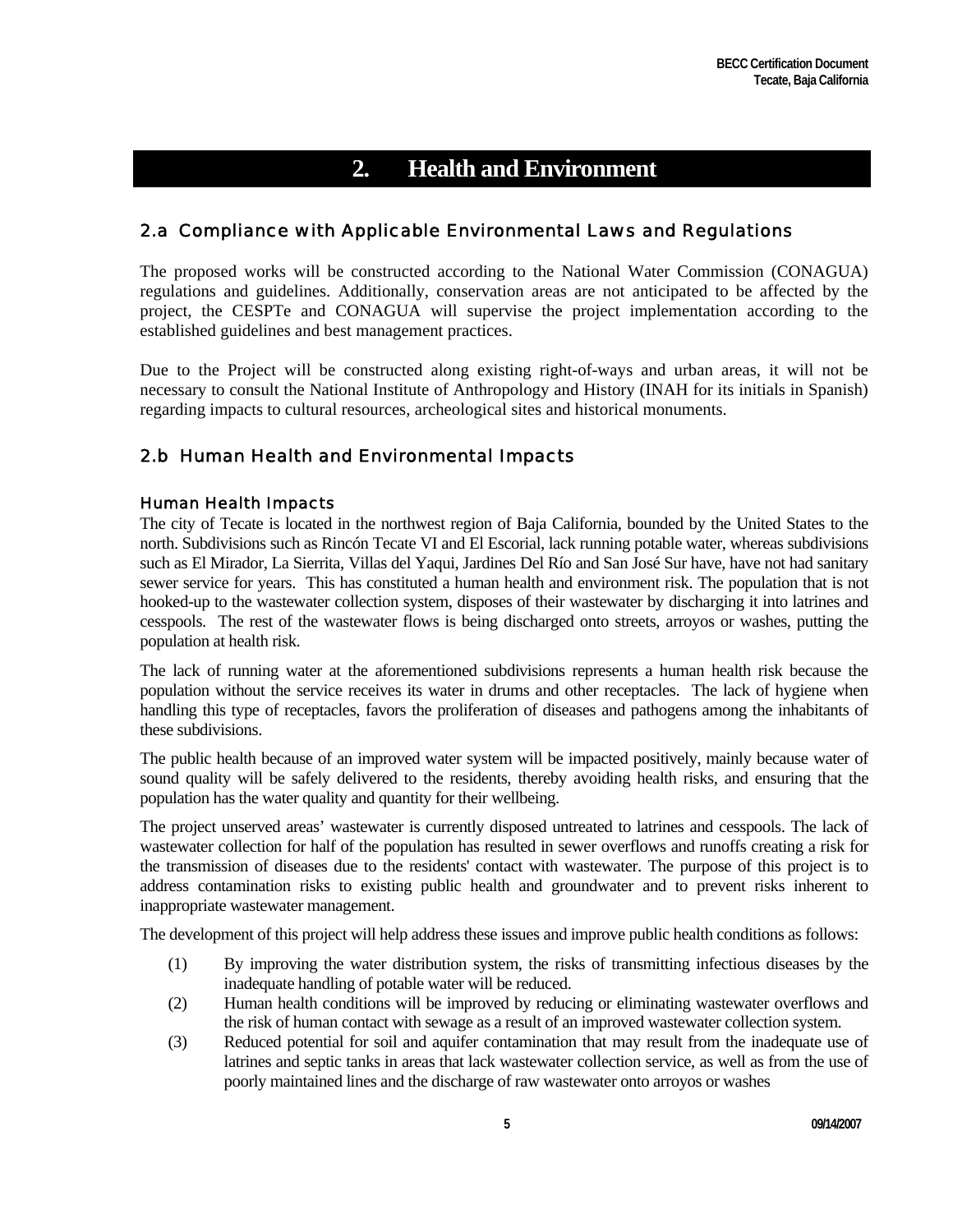# **2. Health and Environment**

# 2.a Compliance with Applicable Environmental Laws and Regulations

The proposed works will be constructed according to the National Water Commission (CONAGUA) regulations and guidelines. Additionally, conservation areas are not anticipated to be affected by the project, the CESPTe and CONAGUA will supervise the project implementation according to the established guidelines and best management practices.

Due to the Project will be constructed along existing right-of-ways and urban areas, it will not be necessary to consult the National Institute of Anthropology and History (INAH for its initials in Spanish) regarding impacts to cultural resources, archeological sites and historical monuments.

# 2.b Human Health and Environmental Impacts

## Human Health Impacts

The city of Tecate is located in the northwest region of Baja California, bounded by the United States to the north. Subdivisions such as Rincón Tecate VI and El Escorial, lack running potable water, whereas subdivisions such as El Mirador, La Sierrita, Villas del Yaqui, Jardines Del Río and San José Sur have, have not had sanitary sewer service for years. This has constituted a human health and environment risk. The population that is not hooked-up to the wastewater collection system, disposes of their wastewater by discharging it into latrines and cesspools. The rest of the wastewater flows is being discharged onto streets, arroyos or washes, putting the population at health risk.

The lack of running water at the aforementioned subdivisions represents a human health risk because the population without the service receives its water in drums and other receptacles. The lack of hygiene when handling this type of receptacles, favors the proliferation of diseases and pathogens among the inhabitants of these subdivisions.

The public health because of an improved water system will be impacted positively, mainly because water of sound quality will be safely delivered to the residents, thereby avoiding health risks, and ensuring that the population has the water quality and quantity for their wellbeing.

The project unserved areas' wastewater is currently disposed untreated to latrines and cesspools. The lack of wastewater collection for half of the population has resulted in sewer overflows and runoffs creating a risk for the transmission of diseases due to the residents' contact with wastewater. The purpose of this project is to address contamination risks to existing public health and groundwater and to prevent risks inherent to inappropriate wastewater management.

The development of this project will help address these issues and improve public health conditions as follows:

- (1) By improving the water distribution system, the risks of transmitting infectious diseases by the inadequate handling of potable water will be reduced.
- (2) Human health conditions will be improved by reducing or eliminating wastewater overflows and the risk of human contact with sewage as a result of an improved wastewater collection system.
- (3) Reduced potential for soil and aquifer contamination that may result from the inadequate use of latrines and septic tanks in areas that lack wastewater collection service, as well as from the use of poorly maintained lines and the discharge of raw wastewater onto arroyos or washes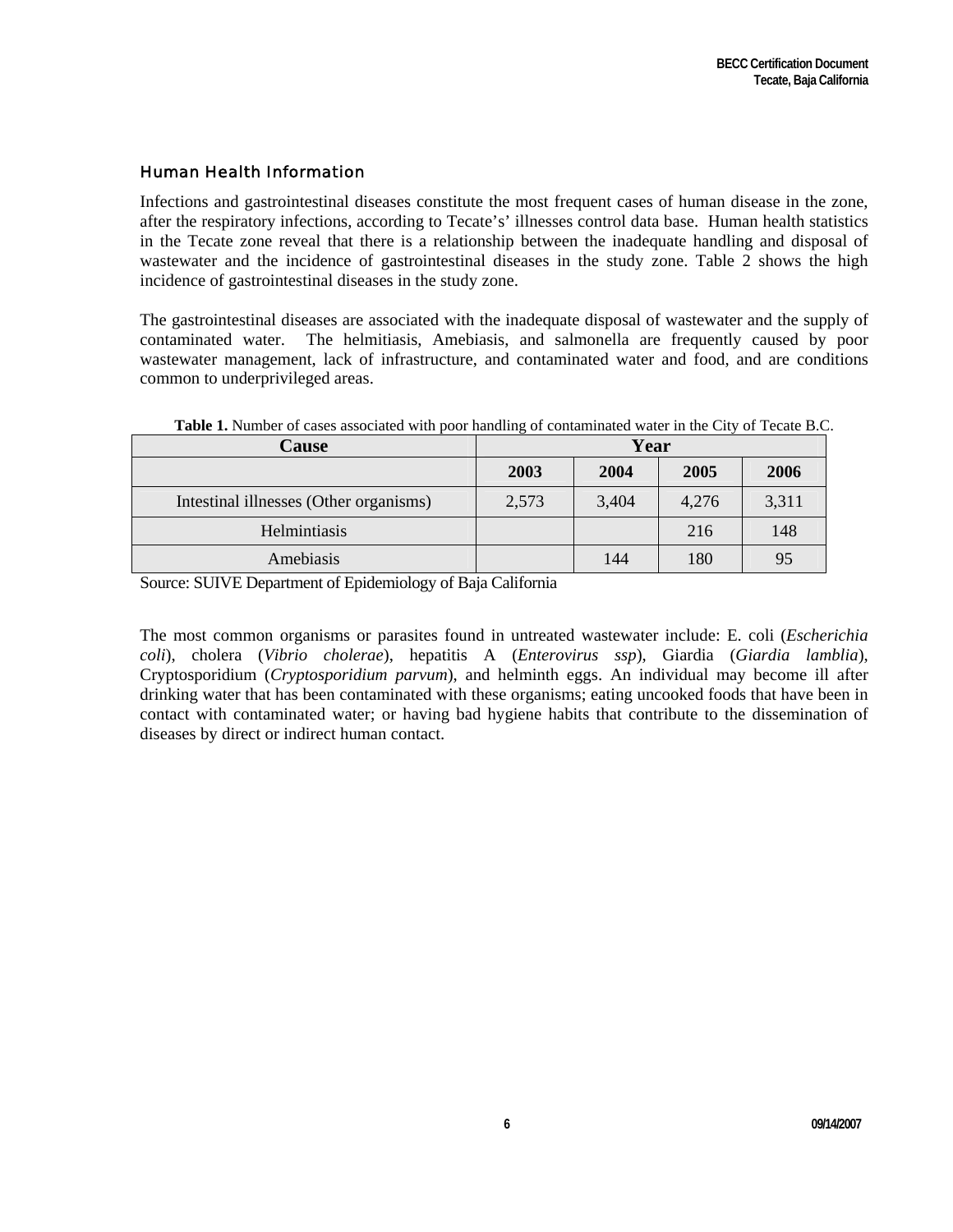#### Human Health Information

Infections and gastrointestinal diseases constitute the most frequent cases of human disease in the zone, after the respiratory infections, according to Tecate's' illnesses control data base. Human health statistics in the Tecate zone reveal that there is a relationship between the inadequate handling and disposal of wastewater and the incidence of gastrointestinal diseases in the study zone. Table 2 shows the high incidence of gastrointestinal diseases in the study zone.

The gastrointestinal diseases are associated with the inadequate disposal of wastewater and the supply of contaminated water. The helmitiasis, Amebiasis, and salmonella are frequently caused by poor wastewater management, lack of infrastructure, and contaminated water and food, and are conditions common to underprivileged areas.

| <b>Cause</b>                           |       | Year  |       |       |
|----------------------------------------|-------|-------|-------|-------|
|                                        | 2003  | 2004  | 2005  | 2006  |
| Intestinal illnesses (Other organisms) | 2,573 | 3,404 | 4,276 | 3,311 |
| Helmintiasis                           |       |       | 216   | 148   |
| Amebiasis                              |       | 144   | 180   | 95    |

**Table 1.** Number of cases associated with poor handling of contaminated water in the City of Tecate B.C.

Source: SUIVE Department of Epidemiology of Baja California

The most common organisms or parasites found in untreated wastewater include: E. coli (*Escherichia coli*), cholera (*Vibrio cholerae*), hepatitis A (*Enterovirus ssp*), Giardia (*Giardia lamblia*), Cryptosporidium (*Cryptosporidium parvum*), and helminth eggs. An individual may become ill after drinking water that has been contaminated with these organisms; eating uncooked foods that have been in contact with contaminated water; or having bad hygiene habits that contribute to the dissemination of diseases by direct or indirect human contact.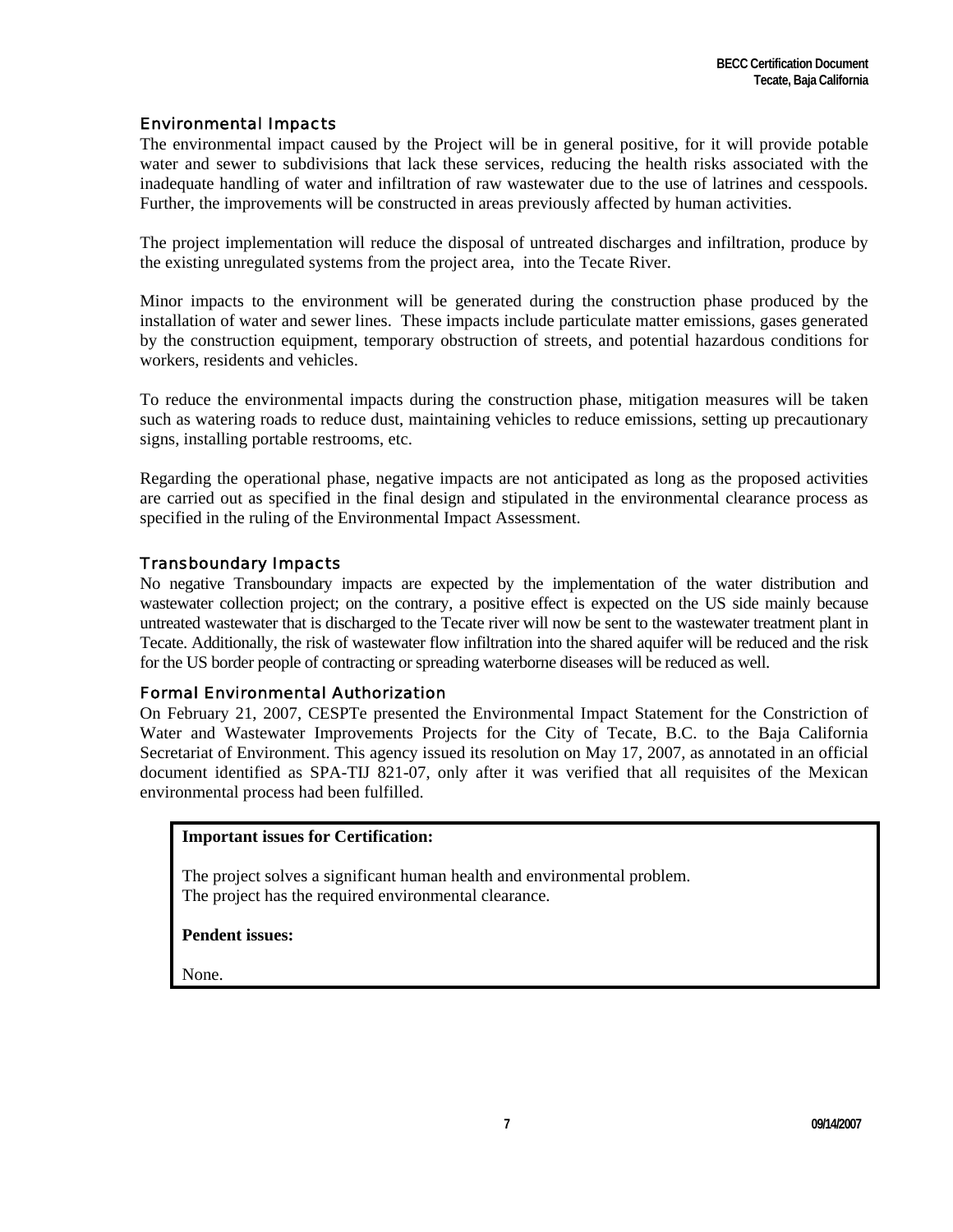# Environmental Impacts

The environmental impact caused by the Project will be in general positive, for it will provide potable water and sewer to subdivisions that lack these services, reducing the health risks associated with the inadequate handling of water and infiltration of raw wastewater due to the use of latrines and cesspools. Further, the improvements will be constructed in areas previously affected by human activities.

The project implementation will reduce the disposal of untreated discharges and infiltration, produce by the existing unregulated systems from the project area, into the Tecate River.

Minor impacts to the environment will be generated during the construction phase produced by the installation of water and sewer lines. These impacts include particulate matter emissions, gases generated by the construction equipment, temporary obstruction of streets, and potential hazardous conditions for workers, residents and vehicles.

To reduce the environmental impacts during the construction phase, mitigation measures will be taken such as watering roads to reduce dust, maintaining vehicles to reduce emissions, setting up precautionary signs, installing portable restrooms, etc.

Regarding the operational phase, negative impacts are not anticipated as long as the proposed activities are carried out as specified in the final design and stipulated in the environmental clearance process as specified in the ruling of the Environmental Impact Assessment.

## Transboundary Impacts

No negative Transboundary impacts are expected by the implementation of the water distribution and wastewater collection project; on the contrary, a positive effect is expected on the US side mainly because untreated wastewater that is discharged to the Tecate river will now be sent to the wastewater treatment plant in Tecate. Additionally, the risk of wastewater flow infiltration into the shared aquifer will be reduced and the risk for the US border people of contracting or spreading waterborne diseases will be reduced as well.

#### Formal Environmental Authorization

On February 21, 2007, CESPTe presented the Environmental Impact Statement for the Constriction of Water and Wastewater Improvements Projects for the City of Tecate, B.C. to the Baja California Secretariat of Environment. This agency issued its resolution on May 17, 2007, as annotated in an official document identified as SPA-TIJ 821-07, only after it was verified that all requisites of the Mexican environmental process had been fulfilled.

#### **Important issues for Certification:**

The project solves a significant human health and environmental problem. The project has the required environmental clearance.

#### **Pendent issues:**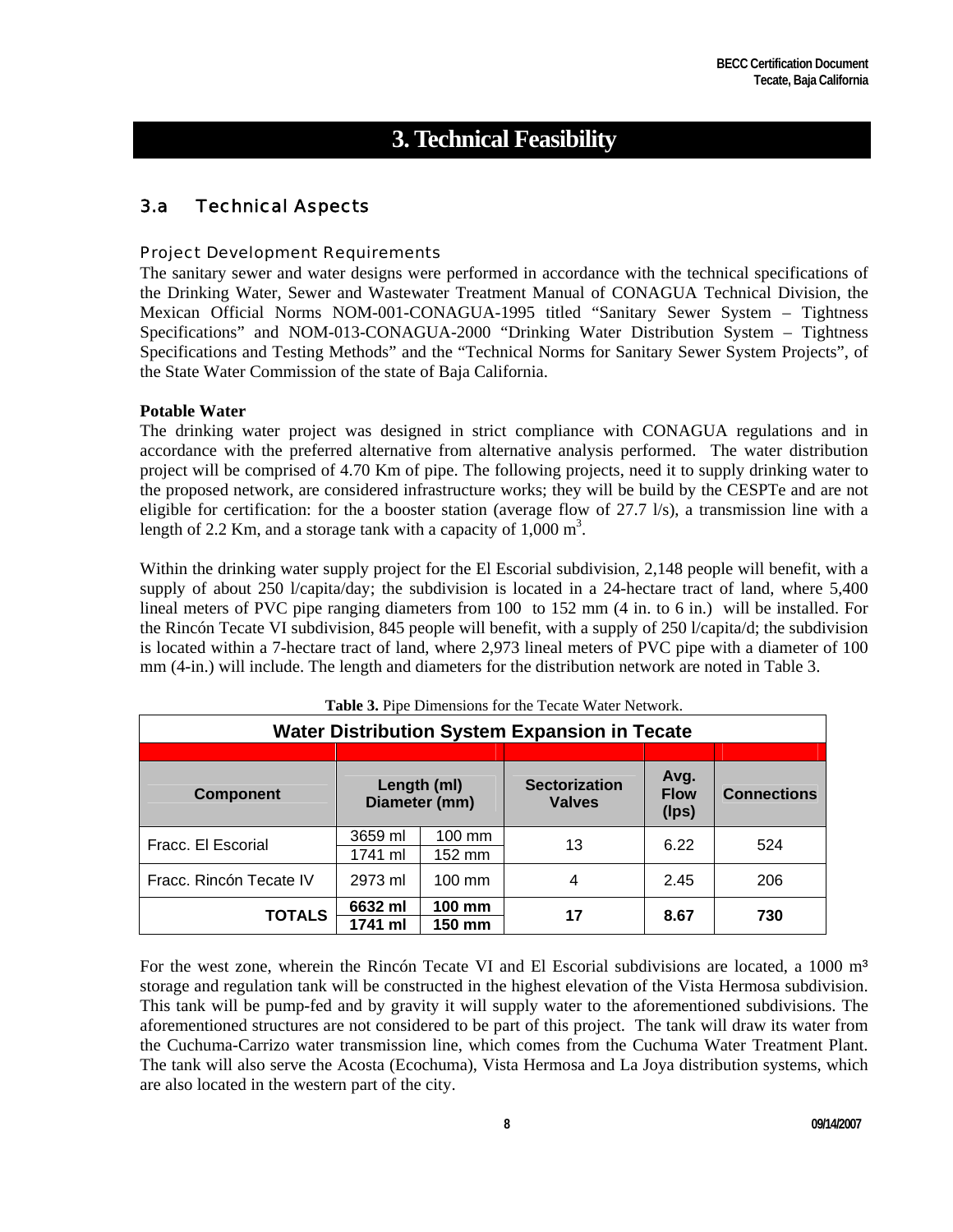# **3. Technical Feasibility**

# 3.a Technical Aspects

#### Project Development Requirements

The sanitary sewer and water designs were performed in accordance with the technical specifications of the Drinking Water, Sewer and Wastewater Treatment Manual of CONAGUA Technical Division, the Mexican Official Norms NOM-001-CONAGUA-1995 titled "Sanitary Sewer System – Tightness Specifications" and NOM-013-CONAGUA-2000 "Drinking Water Distribution System – Tightness Specifications and Testing Methods" and the "Technical Norms for Sanitary Sewer System Projects", of the State Water Commission of the state of Baja California.

#### **Potable Water**

The drinking water project was designed in strict compliance with CONAGUA regulations and in accordance with the preferred alternative from alternative analysis performed. The water distribution project will be comprised of 4.70 Km of pipe. The following projects, need it to supply drinking water to the proposed network, are considered infrastructure works; they will be build by the CESPTe and are not eligible for certification: for the a booster station (average flow of 27.7 l/s), a transmission line with a length of 2.2 Km, and a storage tank with a capacity of  $1,000 \text{ m}^3$ .

Within the drinking water supply project for the El Escorial subdivision, 2,148 people will benefit, with a supply of about 250 l/capita/day; the subdivision is located in a 24-hectare tract of land, where 5,400 lineal meters of PVC pipe ranging diameters from 100 to 152 mm (4 in. to 6 in.) will be installed. For the Rincón Tecate VI subdivision, 845 people will benefit, with a supply of 250 l/capita/d; the subdivision is located within a 7-hectare tract of land, where 2,973 lineal meters of PVC pipe with a diameter of 100 mm (4-in.) will include. The length and diameters for the distribution network are noted in Table 3.

| <b>Table 3.</b> The Difficusions for the Tecate water Network.<br><b>Water Distribution System Expansion in Tecate</b> |                    |                              |                                       |                              |                    |  |  |  |  |  |  |  |
|------------------------------------------------------------------------------------------------------------------------|--------------------|------------------------------|---------------------------------------|------------------------------|--------------------|--|--|--|--|--|--|--|
|                                                                                                                        |                    |                              |                                       |                              |                    |  |  |  |  |  |  |  |
| <b>Component</b>                                                                                                       |                    | Length (ml)<br>Diameter (mm) | <b>Sectorization</b><br><b>Valves</b> | Avg.<br><b>Flow</b><br>(Ips) | <b>Connections</b> |  |  |  |  |  |  |  |
| Fracc. El Escorial                                                                                                     | 3659 ml<br>1741 ml | $100 \text{ mm}$<br>152 mm   | 13                                    | 6.22                         | 524                |  |  |  |  |  |  |  |
| Fracc. Rincón Tecate IV                                                                                                | 2973 ml            | $100 \text{ mm}$             | 4                                     | 2.45                         | 206                |  |  |  |  |  |  |  |
| <b>TOTALS</b>                                                                                                          | 6632 ml<br>1741 ml | 100 mm<br>150 mm             | 17                                    | 8.67                         | 730                |  |  |  |  |  |  |  |

**Table 3.** Pipe Dimensions for the Tecate Water Network.

For the west zone, wherein the Rincón Tecate VI and El Escorial subdivisions are located, a 1000 m<sup>3</sup> storage and regulation tank will be constructed in the highest elevation of the Vista Hermosa subdivision. This tank will be pump-fed and by gravity it will supply water to the aforementioned subdivisions. The aforementioned structures are not considered to be part of this project. The tank will draw its water from the Cuchuma-Carrizo water transmission line, which comes from the Cuchuma Water Treatment Plant. The tank will also serve the Acosta (Ecochuma), Vista Hermosa and La Joya distribution systems, which are also located in the western part of the city.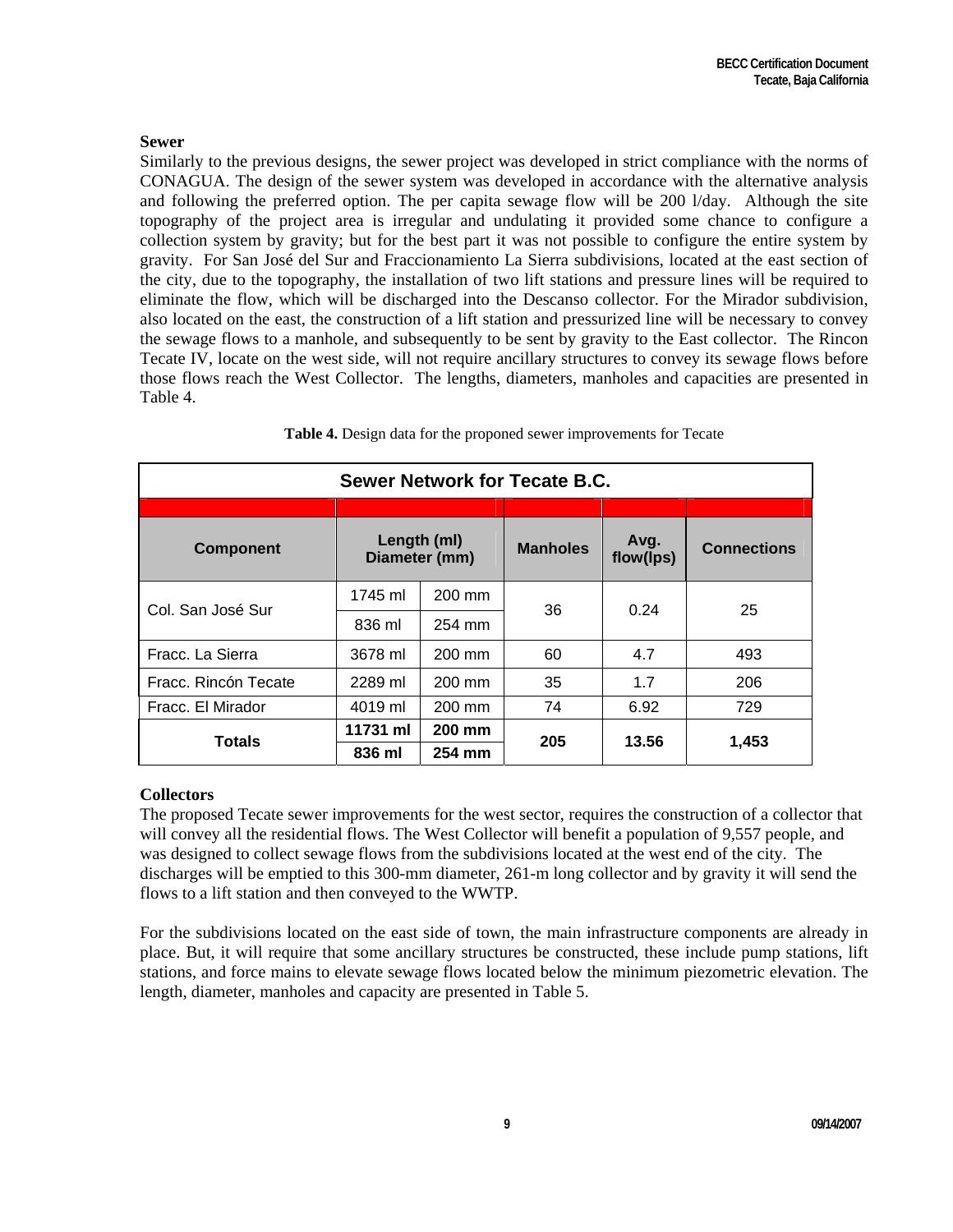#### **Sewer**

Similarly to the previous designs, the sewer project was developed in strict compliance with the norms of CONAGUA. The design of the sewer system was developed in accordance with the alternative analysis and following the preferred option. The per capita sewage flow will be 200 l/day. Although the site topography of the project area is irregular and undulating it provided some chance to configure a collection system by gravity; but for the best part it was not possible to configure the entire system by gravity. For San José del Sur and Fraccionamiento La Sierra subdivisions, located at the east section of the city, due to the topography, the installation of two lift stations and pressure lines will be required to eliminate the flow, which will be discharged into the Descanso collector. For the Mirador subdivision, also located on the east, the construction of a lift station and pressurized line will be necessary to convey the sewage flows to a manhole, and subsequently to be sent by gravity to the East collector. The Rincon Tecate IV, locate on the west side, will not require ancillary structures to convey its sewage flows before those flows reach the West Collector. The lengths, diameters, manholes and capacities are presented in Table 4.

| <b>Sewer Network for Tecate B.C.</b> |               |             |                 |                   |                    |  |  |  |  |  |  |  |  |  |
|--------------------------------------|---------------|-------------|-----------------|-------------------|--------------------|--|--|--|--|--|--|--|--|--|
|                                      |               |             |                 |                   |                    |  |  |  |  |  |  |  |  |  |
| <b>Component</b>                     | Diameter (mm) | Length (ml) | <b>Manholes</b> | Avg.<br>flow(lps) | <b>Connections</b> |  |  |  |  |  |  |  |  |  |
| Col. San José Sur                    | 1745 ml       | 200 mm      | 36              | 0.24              | 25                 |  |  |  |  |  |  |  |  |  |
|                                      | 836 ml        | 254 mm      |                 |                   |                    |  |  |  |  |  |  |  |  |  |
| Fracc. La Sierra                     | 3678 ml       | 200 mm      | 60              |                   | 493                |  |  |  |  |  |  |  |  |  |
| Fracc. Rincón Tecate                 | 2289 ml       | 200 mm      | 35              | 1.7               | 206                |  |  |  |  |  |  |  |  |  |
| Fracc. El Mirador                    | 4019 ml       | 200 mm      | 74              | 6.92              | 729                |  |  |  |  |  |  |  |  |  |
| <b>Totals</b>                        | 11731 ml      | 200 mm      | 205             | 13.56             | 1,453              |  |  |  |  |  |  |  |  |  |
|                                      | 836 ml        | 254 mm      |                 |                   |                    |  |  |  |  |  |  |  |  |  |

**Table 4.** Design data for the proponed sewer improvements for Tecate

## **Collectors**

The proposed Tecate sewer improvements for the west sector, requires the construction of a collector that will convey all the residential flows. The West Collector will benefit a population of 9,557 people, and was designed to collect sewage flows from the subdivisions located at the west end of the city. The discharges will be emptied to this 300-mm diameter, 261-m long collector and by gravity it will send the flows to a lift station and then conveyed to the WWTP.

For the subdivisions located on the east side of town, the main infrastructure components are already in place. But, it will require that some ancillary structures be constructed, these include pump stations, lift stations, and force mains to elevate sewage flows located below the minimum piezometric elevation. The length, diameter, manholes and capacity are presented in Table 5.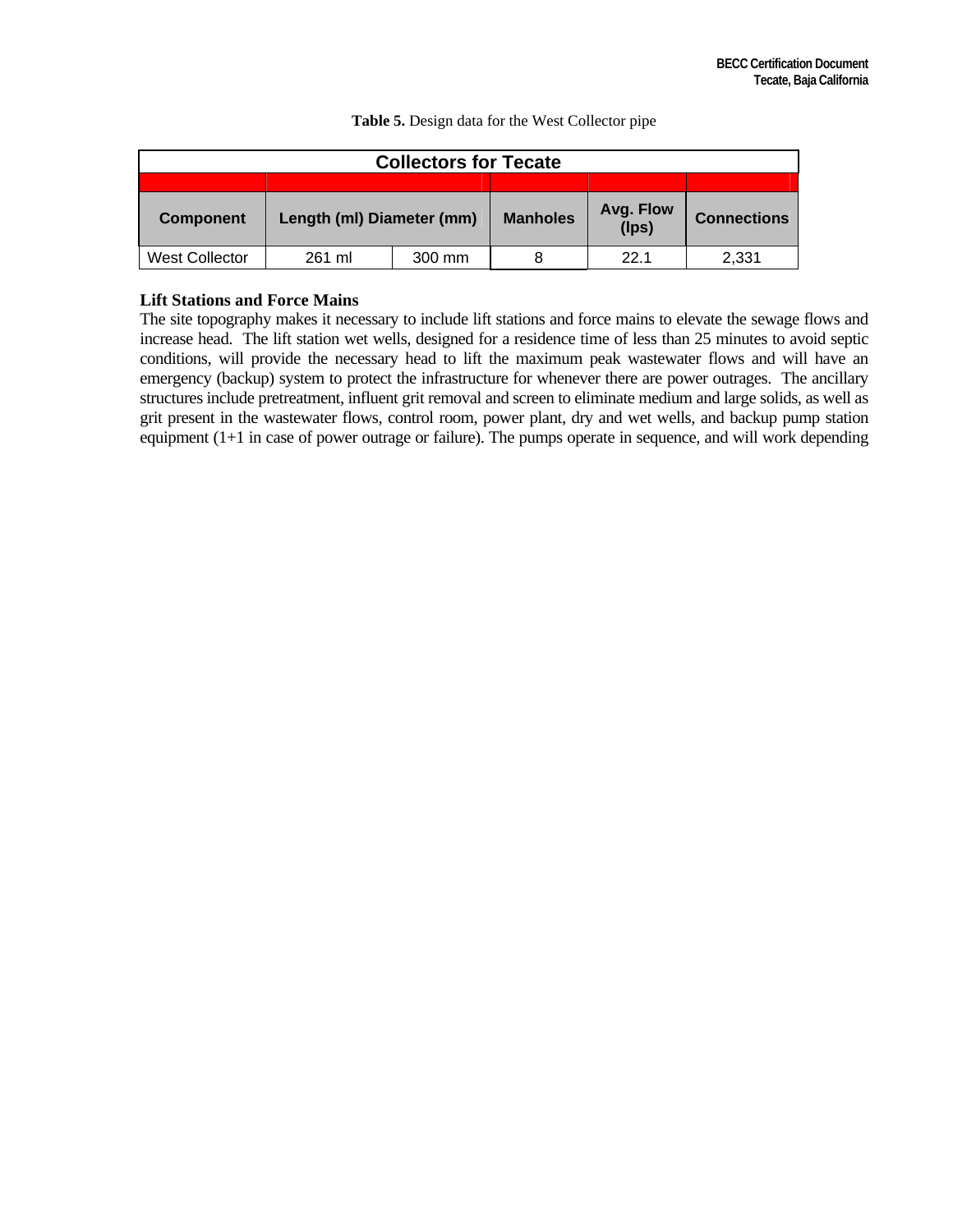| <b>Collectors for Tecate</b> |                           |        |                 |                          |                    |  |  |  |  |  |  |  |
|------------------------------|---------------------------|--------|-----------------|--------------------------|--------------------|--|--|--|--|--|--|--|
|                              |                           |        |                 |                          |                    |  |  |  |  |  |  |  |
| <b>Component</b>             | Length (ml) Diameter (mm) |        | <b>Manholes</b> | Avg. Flow<br>$($ lps $)$ | <b>Connections</b> |  |  |  |  |  |  |  |
| West Collector               | 261 ml                    | 300 mm |                 | 22.1                     | 2,331              |  |  |  |  |  |  |  |

**Table 5.** Design data for the West Collector pipe

# **Lift Stations and Force Mains**

The site topography makes it necessary to include lift stations and force mains to elevate the sewage flows and increase head. The lift station wet wells, designed for a residence time of less than 25 minutes to avoid septic conditions, will provide the necessary head to lift the maximum peak wastewater flows and will have an emergency (backup) system to protect the infrastructure for whenever there are power outrages. The ancillary structures include pretreatment, influent grit removal and screen to eliminate medium and large solids, as well as grit present in the wastewater flows, control room, power plant, dry and wet wells, and backup pump station equipment (1+1 in case of power outrage or failure). The pumps operate in sequence, and will work depending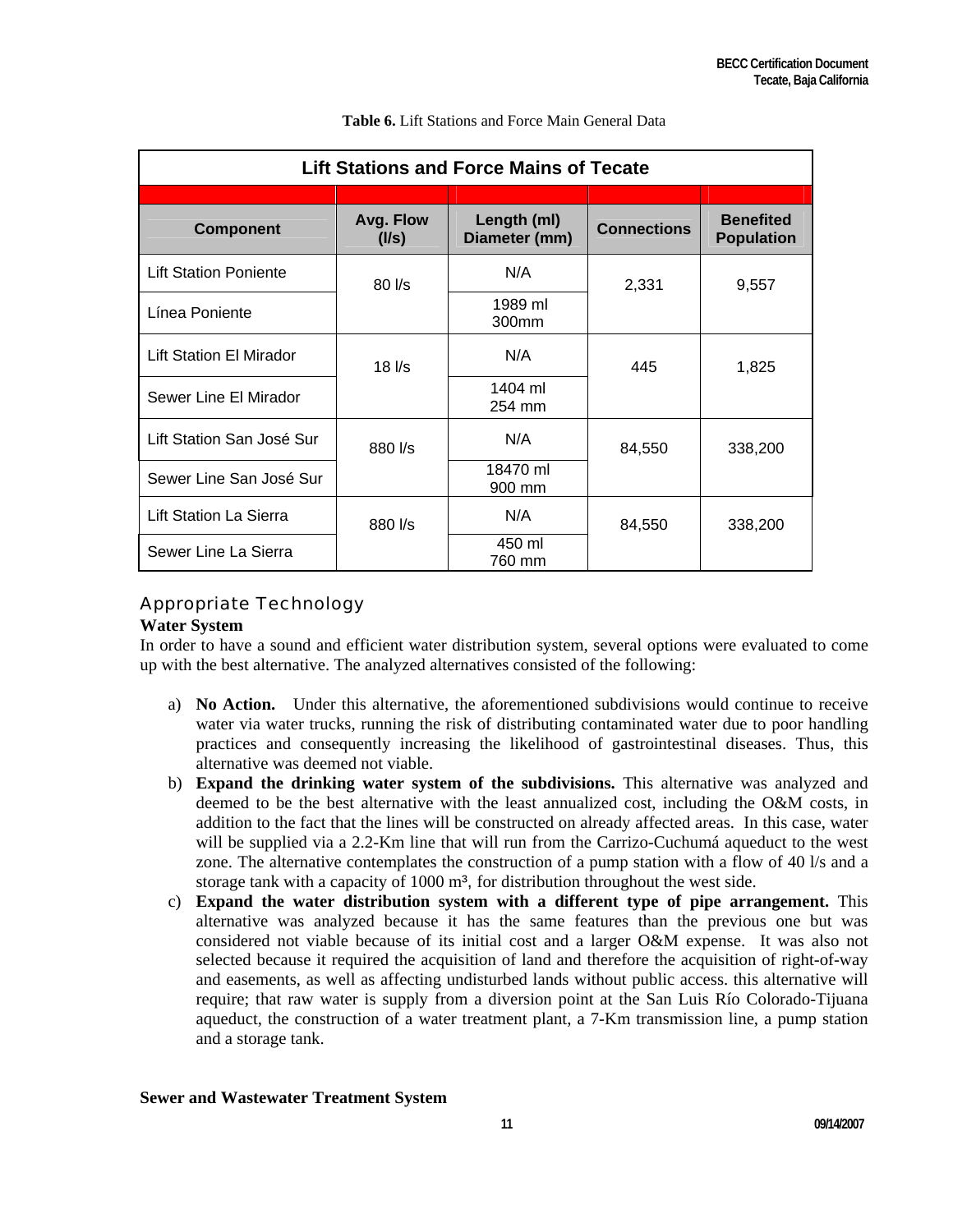| <b>Lift Stations and Force Mains of Tecate</b> |                                                                                 |                              |                    |                                       |  |  |  |  |  |  |  |  |
|------------------------------------------------|---------------------------------------------------------------------------------|------------------------------|--------------------|---------------------------------------|--|--|--|--|--|--|--|--|
|                                                |                                                                                 |                              |                    |                                       |  |  |  |  |  |  |  |  |
| <b>Component</b>                               | Avg. Flow<br>(1/s)                                                              | Length (ml)<br>Diameter (mm) | <b>Connections</b> | <b>Benefited</b><br><b>Population</b> |  |  |  |  |  |  |  |  |
| <b>Lift Station Poniente</b>                   | $80$ $\overline{\phantom{1}}$ $\overline{\phantom{1}}$ $\overline{\phantom{1}}$ | N/A                          | 2,331              | 9,557                                 |  |  |  |  |  |  |  |  |
| Línea Poniente                                 |                                                                                 | 1989 ml<br>300mm             |                    |                                       |  |  |  |  |  |  |  |  |
| <b>Lift Station El Mirador</b>                 | $18$ $\overline{\phantom{1}}$ /s                                                | N/A                          | 445                | 1,825                                 |  |  |  |  |  |  |  |  |
| Sewer Line El Mirador                          |                                                                                 | 1404 ml<br>254 mm            |                    |                                       |  |  |  |  |  |  |  |  |
| Lift Station San José Sur                      | 880 l/s                                                                         | N/A                          | 84,550             | 338,200                               |  |  |  |  |  |  |  |  |
| Sewer Line San José Sur                        |                                                                                 | 18470 ml<br>900 mm           |                    |                                       |  |  |  |  |  |  |  |  |
| Lift Station La Sierra                         | 880 l/s                                                                         | N/A                          | 84,550             | 338,200                               |  |  |  |  |  |  |  |  |
| Sewer Line La Sierra                           |                                                                                 | 450 ml<br>760 mm             |                    |                                       |  |  |  |  |  |  |  |  |

#### **Table 6.** Lift Stations and Force Main General Data

# Appropriate Technology

## **Water System**

In order to have a sound and efficient water distribution system, several options were evaluated to come up with the best alternative. The analyzed alternatives consisted of the following:

- a) **No Action.** Under this alternative, the aforementioned subdivisions would continue to receive water via water trucks, running the risk of distributing contaminated water due to poor handling practices and consequently increasing the likelihood of gastrointestinal diseases. Thus, this alternative was deemed not viable.
- b) **Expand the drinking water system of the subdivisions.** This alternative was analyzed and deemed to be the best alternative with the least annualized cost, including the O&M costs, in addition to the fact that the lines will be constructed on already affected areas. In this case, water will be supplied via a 2.2-Km line that will run from the Carrizo-Cuchumá aqueduct to the west zone. The alternative contemplates the construction of a pump station with a flow of 40 l/s and a storage tank with a capacity of 1000 m<sup>3</sup>, for distribution throughout the west side.
- c) **Expand the water distribution system with a different type of pipe arrangement.** This alternative was analyzed because it has the same features than the previous one but was considered not viable because of its initial cost and a larger O&M expense. It was also not selected because it required the acquisition of land and therefore the acquisition of right-of-way and easements, as well as affecting undisturbed lands without public access. this alternative will require; that raw water is supply from a diversion point at the San Luis Río Colorado-Tijuana aqueduct, the construction of a water treatment plant, a 7-Km transmission line, a pump station and a storage tank.

#### **Sewer and Wastewater Treatment System**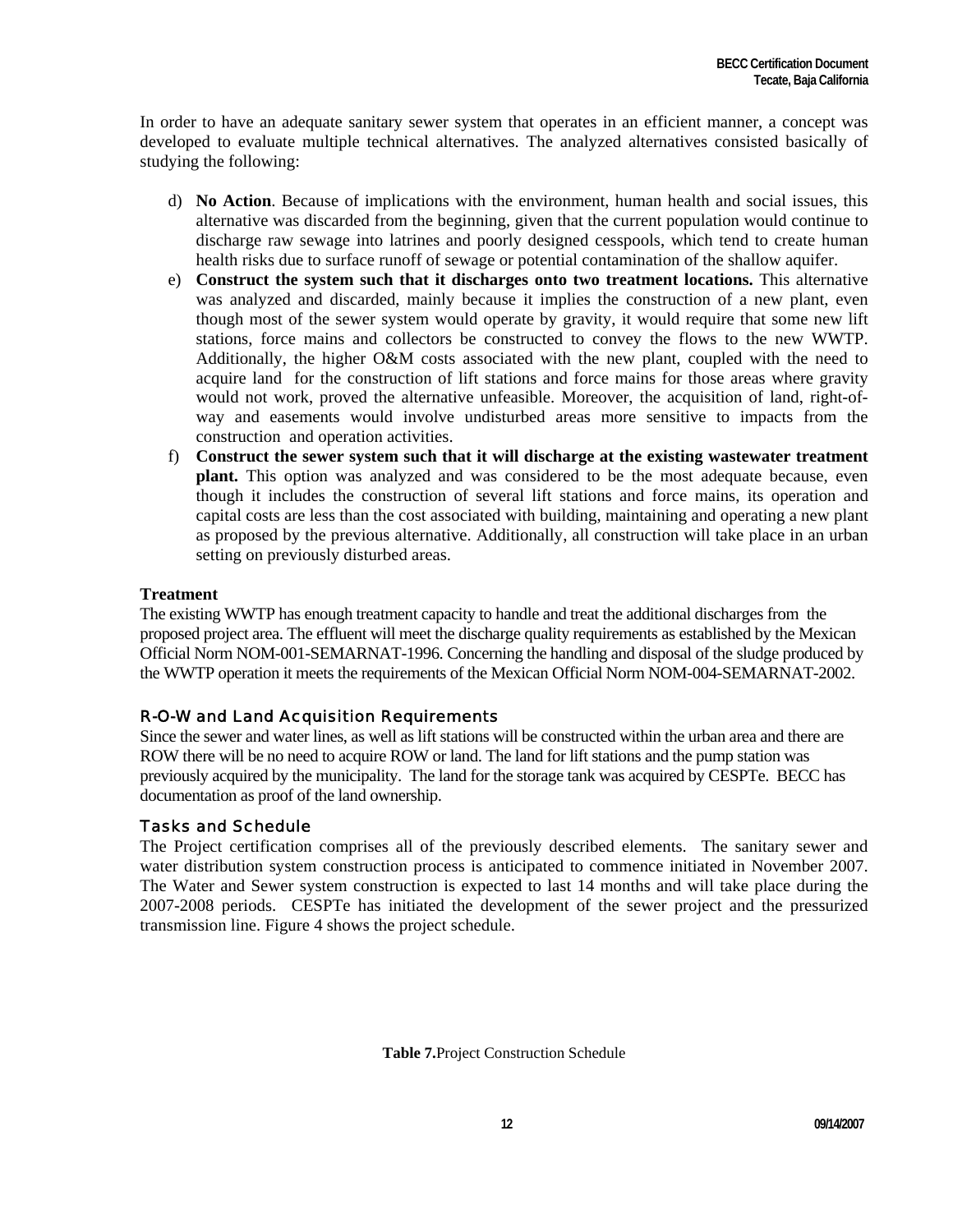In order to have an adequate sanitary sewer system that operates in an efficient manner, a concept was developed to evaluate multiple technical alternatives. The analyzed alternatives consisted basically of studying the following:

- d) **No Action**. Because of implications with the environment, human health and social issues, this alternative was discarded from the beginning, given that the current population would continue to discharge raw sewage into latrines and poorly designed cesspools, which tend to create human health risks due to surface runoff of sewage or potential contamination of the shallow aquifer.
- e) **Construct the system such that it discharges onto two treatment locations.** This alternative was analyzed and discarded, mainly because it implies the construction of a new plant, even though most of the sewer system would operate by gravity, it would require that some new lift stations, force mains and collectors be constructed to convey the flows to the new WWTP. Additionally, the higher O&M costs associated with the new plant, coupled with the need to acquire land for the construction of lift stations and force mains for those areas where gravity would not work, proved the alternative unfeasible. Moreover, the acquisition of land, right-ofway and easements would involve undisturbed areas more sensitive to impacts from the construction and operation activities.
- f) **Construct the sewer system such that it will discharge at the existing wastewater treatment plant.** This option was analyzed and was considered to be the most adequate because, even though it includes the construction of several lift stations and force mains, its operation and capital costs are less than the cost associated with building, maintaining and operating a new plant as proposed by the previous alternative. Additionally, all construction will take place in an urban setting on previously disturbed areas.

# **Treatment**

The existing WWTP has enough treatment capacity to handle and treat the additional discharges from the proposed project area. The effluent will meet the discharge quality requirements as established by the Mexican Official Norm NOM-001-SEMARNAT-1996. Concerning the handling and disposal of the sludge produced by the WWTP operation it meets the requirements of the Mexican Official Norm NOM-004-SEMARNAT-2002.

# R-O-W and Land Acquisition Requirements

Since the sewer and water lines, as well as lift stations will be constructed within the urban area and there are ROW there will be no need to acquire ROW or land. The land for lift stations and the pump station was previously acquired by the municipality. The land for the storage tank was acquired by CESPTe. BECC has documentation as proof of the land ownership.

# Tasks and Schedule

The Project certification comprises all of the previously described elements. The sanitary sewer and water distribution system construction process is anticipated to commence initiated in November 2007. The Water and Sewer system construction is expected to last 14 months and will take place during the 2007-2008 periods. CESPTe has initiated the development of the sewer project and the pressurized transmission line. Figure 4 shows the project schedule.

**Table 7.**Project Construction Schedule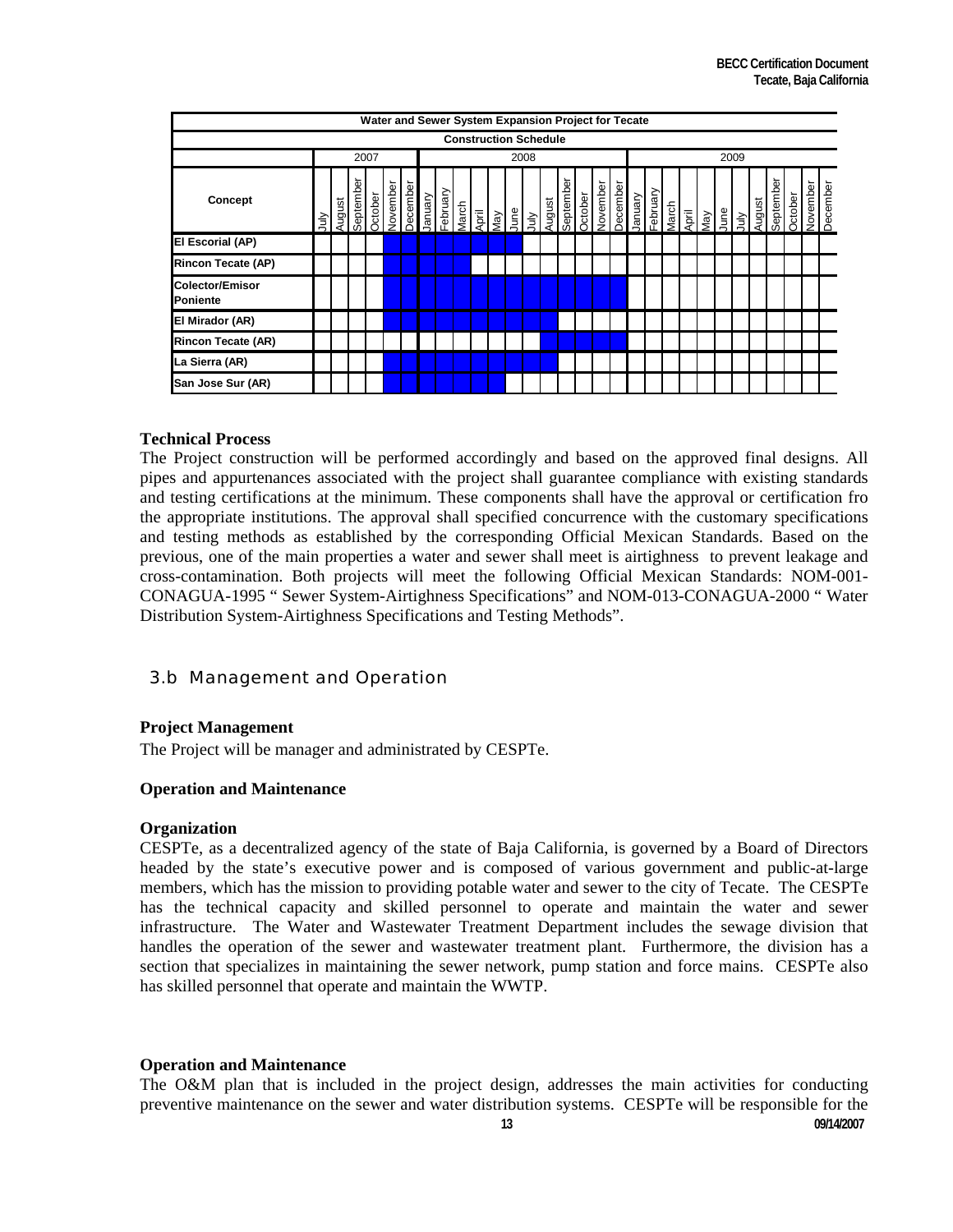| Water and Sewer System Expansion Project for Tecate |           |        |          |                |         |        |        |         |              |       |     |     |                   |         |          |        |          |         |         |         |              |                |     |     |      |       |             |                |          |          |
|-----------------------------------------------------|-----------|--------|----------|----------------|---------|--------|--------|---------|--------------|-------|-----|-----|-------------------|---------|----------|--------|----------|---------|---------|---------|--------------|----------------|-----|-----|------|-------|-------------|----------------|----------|----------|
| <b>Construction Schedule</b>                        |           |        |          |                |         |        |        |         |              |       |     |     |                   |         |          |        |          |         |         |         |              |                |     |     |      |       |             |                |          |          |
|                                                     |           |        |          | 2007           |         |        |        |         |              |       |     |     | 2008              |         |          |        |          |         |         |         |              |                |     |     | 2009 |       |             |                |          |          |
| Concept                                             | $\exists$ | August | eptember | <b>october</b> | ovember | ecembe | anuary | ebruary | <b>larch</b> | April | Vey | gun | $\tilde{\exists}$ | langust | eptember | ctober | lovember | ecember | Ianuary | ebruary | <b>larch</b> | $\overline{5}$ | Vel | gun | 슬'   | ugust | Φ<br>eptemb | <b>October</b> | Vovember | December |
| <b>El Escorial (AP)</b>                             |           |        |          |                |         |        |        |         |              |       |     |     |                   |         |          |        |          |         |         |         |              |                |     |     |      |       |             |                |          |          |
| <b>Rincon Tecate (AP)</b>                           |           |        |          |                |         |        |        |         |              |       |     |     |                   |         |          |        |          |         |         |         |              |                |     |     |      |       |             |                |          |          |
| Colector/Emisor<br><b>Poniente</b>                  |           |        |          |                |         |        |        |         |              |       |     |     |                   |         |          |        |          |         |         |         |              |                |     |     |      |       |             |                |          |          |
| El Mirador (AR)                                     |           |        |          |                |         |        |        |         |              |       |     |     |                   |         |          |        |          |         |         |         |              |                |     |     |      |       |             |                |          |          |
| <b>Rincon Tecate (AR)</b>                           |           |        |          |                |         |        |        |         |              |       |     |     |                   |         |          |        |          |         |         |         |              |                |     |     |      |       |             |                |          |          |
| La Sierra (AR)                                      |           |        |          |                |         |        |        |         |              |       |     |     |                   |         |          |        |          |         |         |         |              |                |     |     |      |       |             |                |          |          |
| San Jose Sur (AR)                                   |           |        |          |                |         |        |        |         |              |       |     |     |                   |         |          |        |          |         |         |         |              |                |     |     |      |       |             |                |          |          |

#### **Technical Process**

The Project construction will be performed accordingly and based on the approved final designs. All pipes and appurtenances associated with the project shall guarantee compliance with existing standards and testing certifications at the minimum. These components shall have the approval or certification fro the appropriate institutions. The approval shall specified concurrence with the customary specifications and testing methods as established by the corresponding Official Mexican Standards. Based on the previous, one of the main properties a water and sewer shall meet is airtighness to prevent leakage and cross-contamination. Both projects will meet the following Official Mexican Standards: NOM-001- CONAGUA-1995 " Sewer System-Airtighness Specifications" and NOM-013-CONAGUA-2000 " Water Distribution System-Airtighness Specifications and Testing Methods".

# 3.b Management and Operation

## **Project Management**

The Project will be manager and administrated by CESPTe.

#### **Operation and Maintenance**

#### **Organization**

CESPTe, as a decentralized agency of the state of Baja California, is governed by a Board of Directors headed by the state's executive power and is composed of various government and public-at-large members, which has the mission to providing potable water and sewer to the city of Tecate. The CESPTe has the technical capacity and skilled personnel to operate and maintain the water and sewer infrastructure. The Water and Wastewater Treatment Department includes the sewage division that handles the operation of the sewer and wastewater treatment plant. Furthermore, the division has a section that specializes in maintaining the sewer network, pump station and force mains. CESPTe also has skilled personnel that operate and maintain the WWTP.

#### **Operation and Maintenance**

preventive maintenance on the sewer and water distribution systems. CESPTe will be responsible for the<br>09/14/2007 The O&M plan that is included in the project design, addresses the main activities for conducting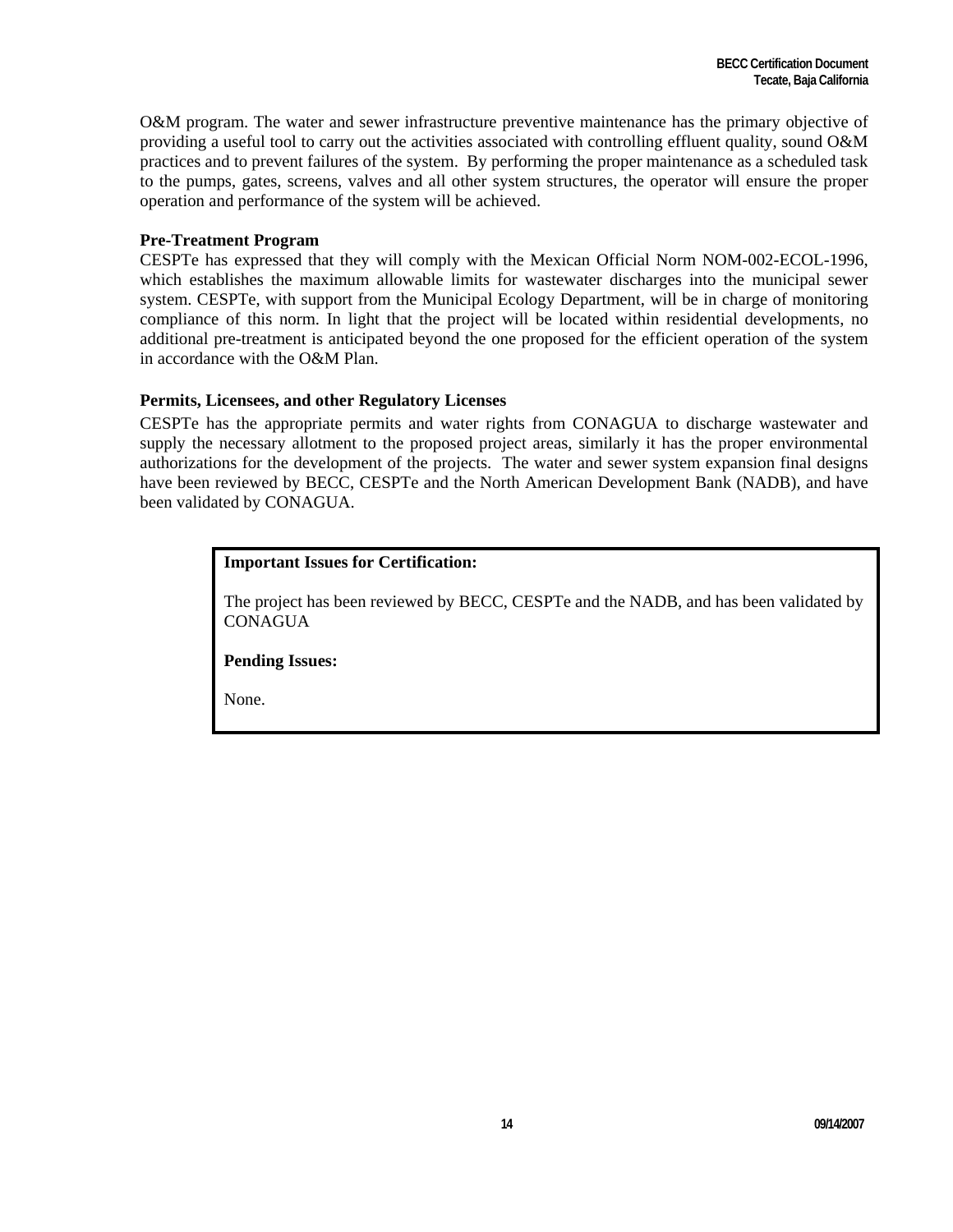O&M program. The water and sewer infrastructure preventive maintenance has the primary objective of providing a useful tool to carry out the activities associated with controlling effluent quality, sound O&M practices and to prevent failures of the system. By performing the proper maintenance as a scheduled task to the pumps, gates, screens, valves and all other system structures, the operator will ensure the proper operation and performance of the system will be achieved.

#### **Pre-Treatment Program**

CESPTe has expressed that they will comply with the Mexican Official Norm NOM-002-ECOL-1996, which establishes the maximum allowable limits for wastewater discharges into the municipal sewer system. CESPTe, with support from the Municipal Ecology Department, will be in charge of monitoring compliance of this norm. In light that the project will be located within residential developments, no additional pre-treatment is anticipated beyond the one proposed for the efficient operation of the system in accordance with the O&M Plan.

#### **Permits, Licensees, and other Regulatory Licenses**

CESPTe has the appropriate permits and water rights from CONAGUA to discharge wastewater and supply the necessary allotment to the proposed project areas, similarly it has the proper environmental authorizations for the development of the projects. The water and sewer system expansion final designs have been reviewed by BECC, CESPTe and the North American Development Bank (NADB), and have been validated by CONAGUA.

#### **Important Issues for Certification:**

The project has been reviewed by BECC, CESPTe and the NADB, and has been validated by **CONAGUA** 

**Pending Issues:**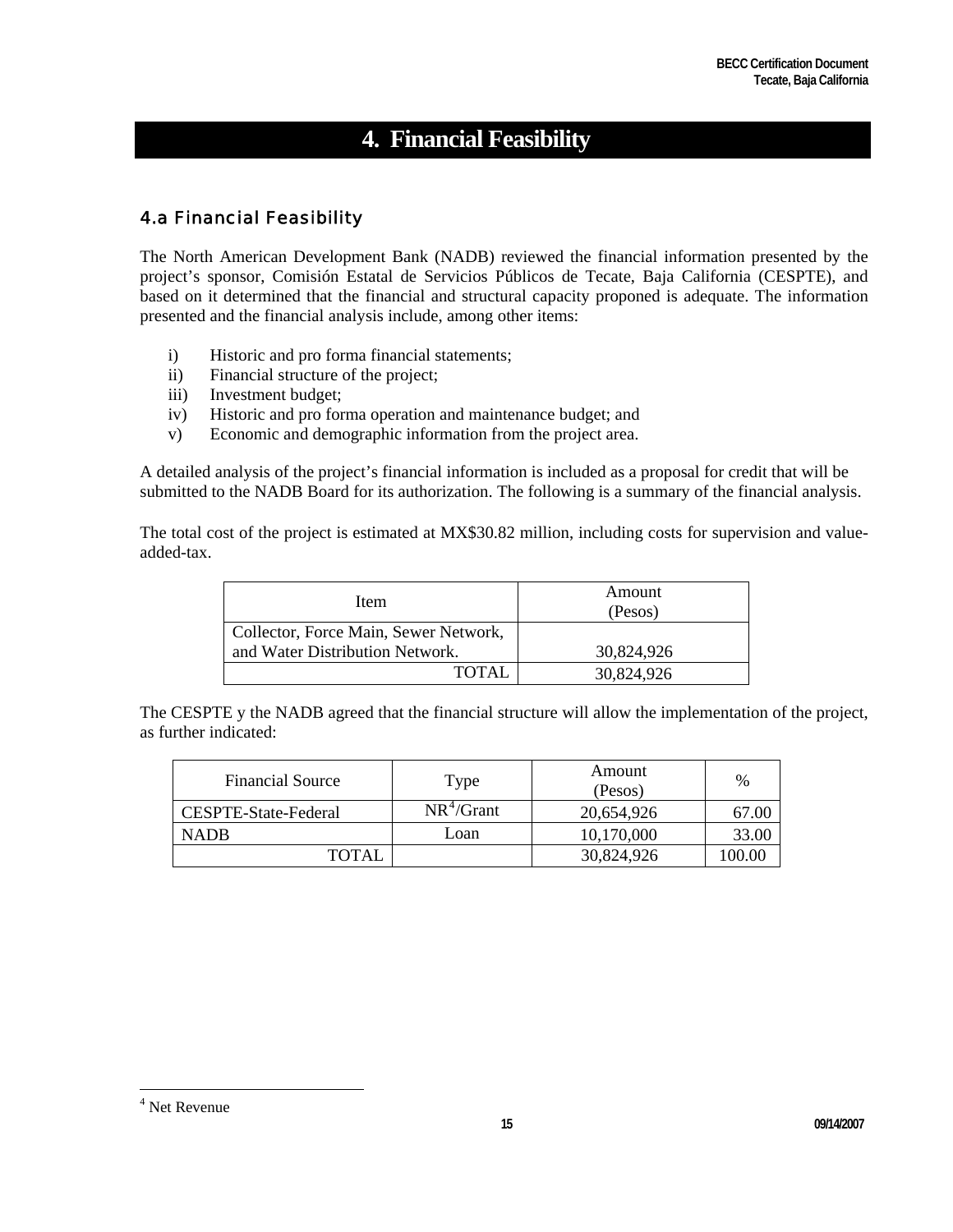# **4. Financial Feasibility**

# 4.a Financial Feasibility

The North American Development Bank (NADB) reviewed the financial information presented by the project's sponsor, Comisión Estatal de Servicios Públicos de Tecate, Baja California (CESPTE), and based on it determined that the financial and structural capacity proponed is adequate. The information presented and the financial analysis include, among other items:

- i) Historic and pro forma financial statements;
- ii) Financial structure of the project;
- iii) Investment budget;
- iv) Historic and pro forma operation and maintenance budget; and
- v) Economic and demographic information from the project area.

A detailed analysis of the project's financial information is included as a proposal for credit that will be submitted to the NADB Board for its authorization. The following is a summary of the financial analysis.

The total cost of the project is estimated at MX\$30.82 million, including costs for supervision and valueadded-tax.

| Item                                  | Amount<br>(Pesos) |
|---------------------------------------|-------------------|
| Collector, Force Main, Sewer Network, |                   |
| and Water Distribution Network.       | 30,824,926        |
| TOTAL                                 | 30,824,926        |

The CESPTE y the NADB agreed that the financial structure will allow the implementation of the project, as further indicated:

| <b>Financial Source</b> | Type         | Amount<br>(Pesos) | %      |
|-------------------------|--------------|-------------------|--------|
| CESPTE-State-Federal    | $NR^4/Grant$ | 20.654.926        | 67.00  |
| <b>NADB</b>             | Loan         | 10,170,000        | 33.00  |
| <b>TOTAL</b>            |              | 30,824,926        | 100.00 |

 $\overline{a}$ 

<span id="page-14-0"></span>**<sup>15</sup>** 09/14/2007 4 Net Revenue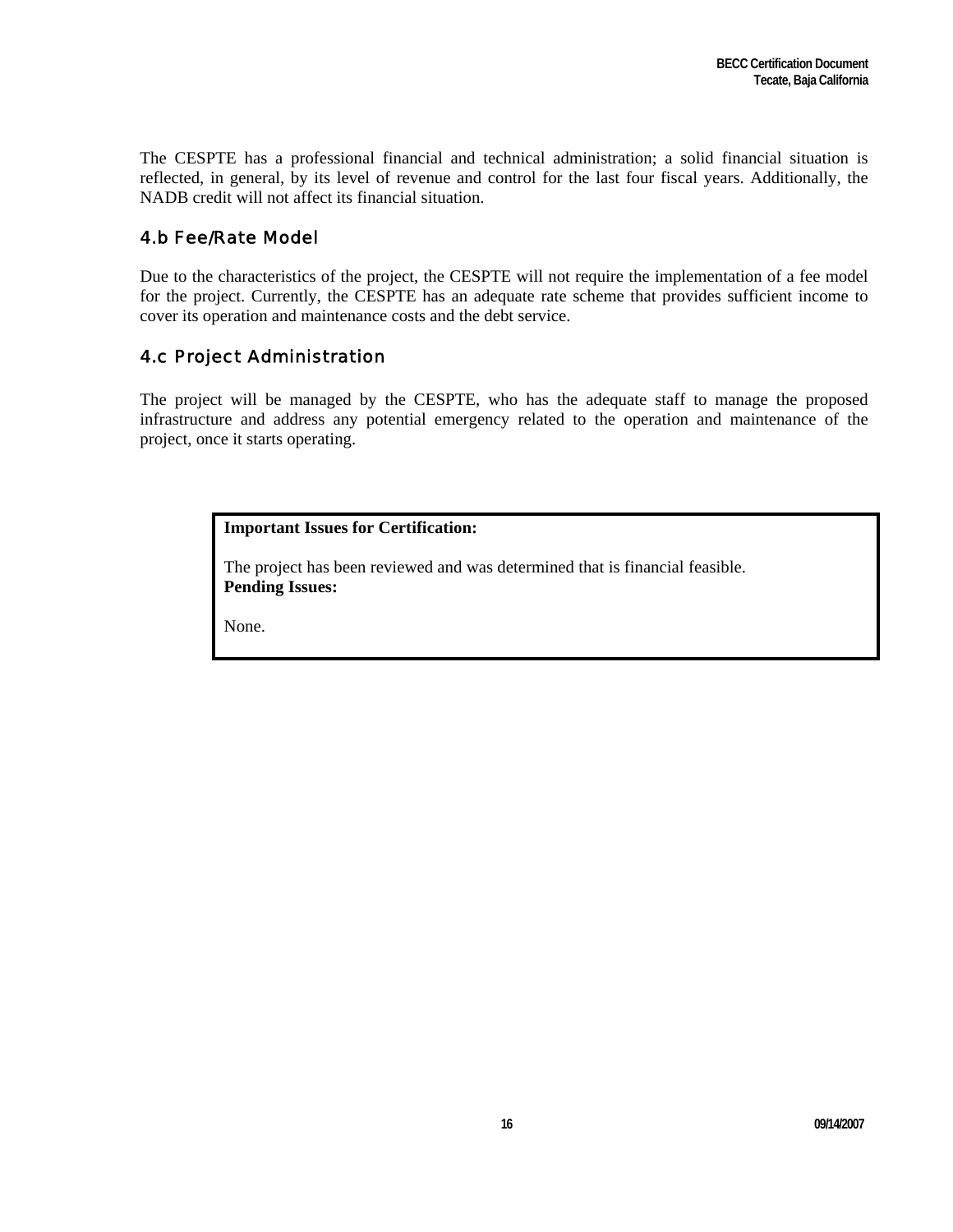The CESPTE has a professional financial and technical administration; a solid financial situation is reflected, in general, by its level of revenue and control for the last four fiscal years. Additionally, the NADB credit will not affect its financial situation.

# 4.b Fee/Rate Model

Due to the characteristics of the project, the CESPTE will not require the implementation of a fee model for the project. Currently, the CESPTE has an adequate rate scheme that provides sufficient income to cover its operation and maintenance costs and the debt service.

# 4.c Project Administration

The project will be managed by the CESPTE, who has the adequate staff to manage the proposed infrastructure and address any potential emergency related to the operation and maintenance of the project, once it starts operating.

## **Important Issues for Certification:**

The project has been reviewed and was determined that is financial feasible. **Pending Issues:**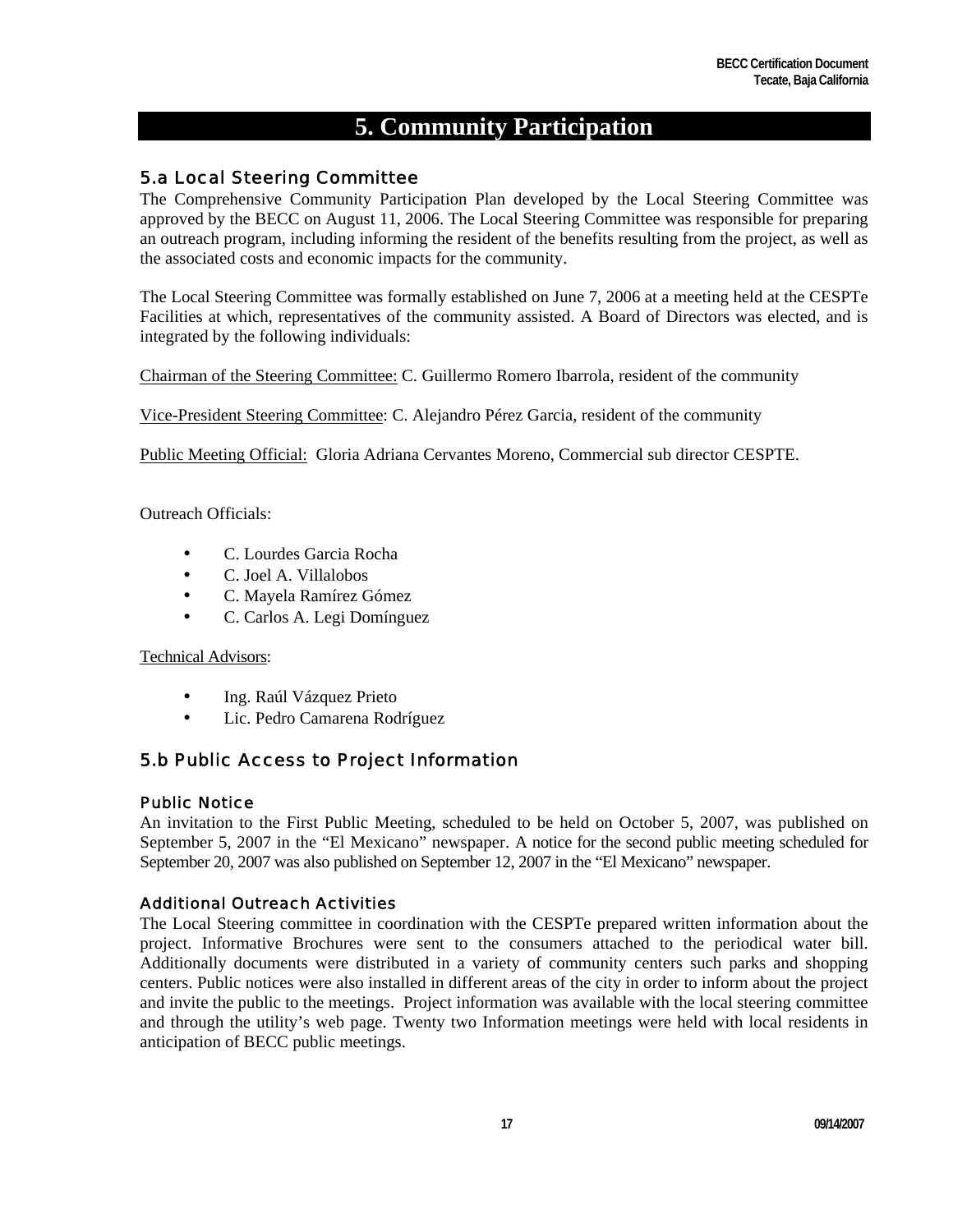# **5. Community Participation**

# 5.a Local Steering Committee

The Comprehensive Community Participation Plan developed by the Local Steering Committee was approved by the BECC on August 11, 2006. The Local Steering Committee was responsible for preparing an outreach program, including informing the resident of the benefits resulting from the project, as well as the associated costs and economic impacts for the community.

The Local Steering Committee was formally established on June 7, 2006 at a meeting held at the CESPTe Facilities at which, representatives of the community assisted. A Board of Directors was elected, and is integrated by the following individuals:

Chairman of the Steering Committee: C. Guillermo Romero Ibarrola, resident of the community

Vice-President Steering Committee: C. Alejandro Pérez Garcia, resident of the community

Public Meeting Official: Gloria Adriana Cervantes Moreno, Commercial sub director CESPTE.

Outreach Officials:

- C. Lourdes Garcia Rocha
- C. Joel A. Villalobos
- C. Mayela Ramírez Gómez
- C. Carlos A. Legi Domínguez

#### Technical Advisors:

- Ing. Raúl Vázquez Prieto
- Lic. Pedro Camarena Rodríguez

# 5.b Public Access to Project Information

#### Public Notice

An invitation to the First Public Meeting, scheduled to be held on October 5, 2007, was published on September 5, 2007 in the "El Mexicano" newspaper. A notice for the second public meeting scheduled for September 20, 2007 was also published on September 12, 2007 in the "El Mexicano" newspaper.

## Additional Outreach Activities

The Local Steering committee in coordination with the CESPTe prepared written information about the project. Informative Brochures were sent to the consumers attached to the periodical water bill. Additionally documents were distributed in a variety of community centers such parks and shopping centers. Public notices were also installed in different areas of the city in order to inform about the project and invite the public to the meetings. Project information was available with the local steering committee and through the utility's web page. Twenty two Information meetings were held with local residents in anticipation of BECC public meetings.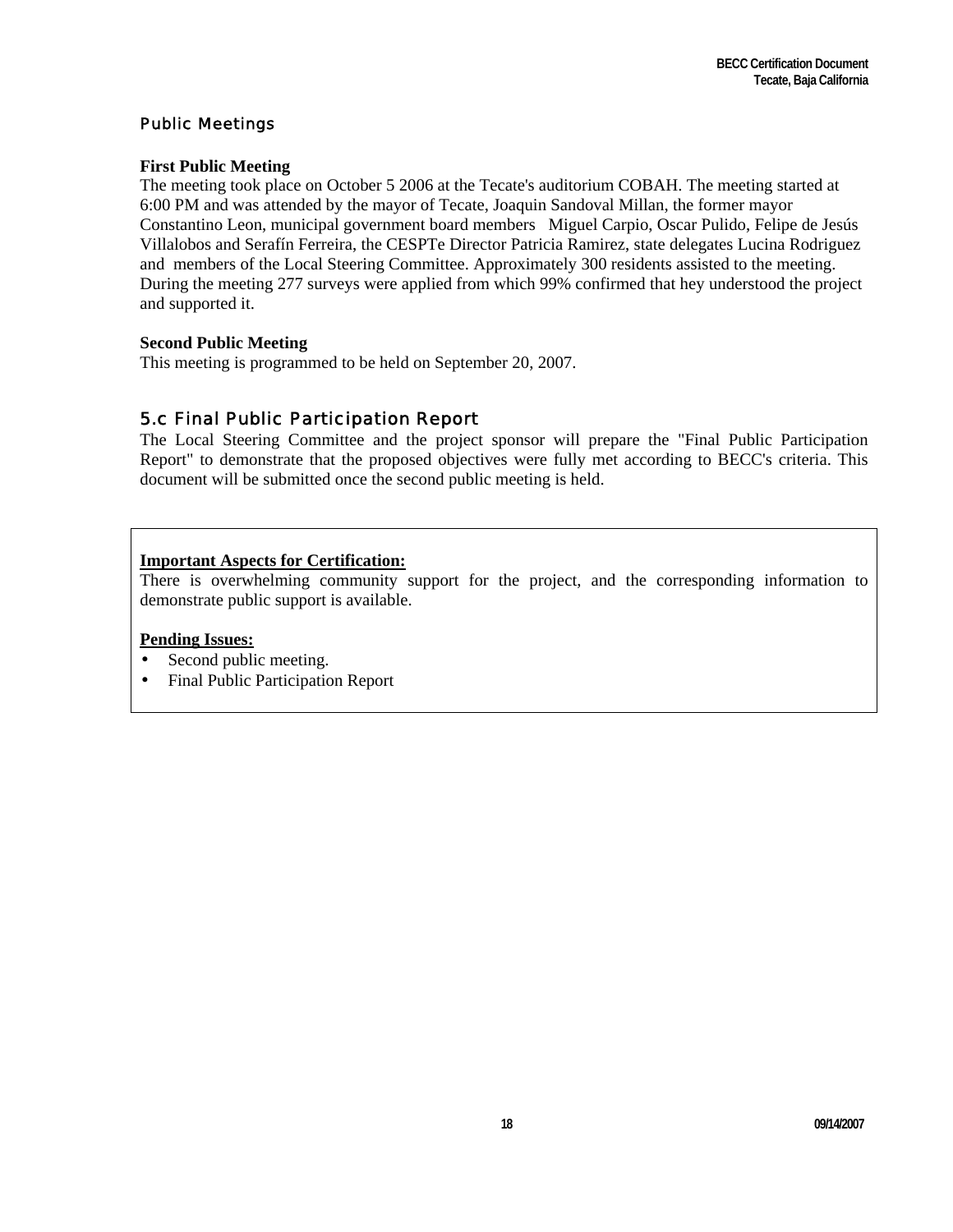#### Public Meetings

#### **First Public Meeting**

The meeting took place on October 5 2006 at the Tecate's auditorium COBAH. The meeting started at 6:00 PM and was attended by the mayor of Tecate, Joaquin Sandoval Millan, the former mayor Constantino Leon, municipal government board members Miguel Carpio, Oscar Pulido, Felipe de Jesús Villalobos and Serafín Ferreira, the CESPTe Director Patricia Ramirez, state delegates Lucina Rodriguez and members of the Local Steering Committee. Approximately 300 residents assisted to the meeting. During the meeting 277 surveys were applied from which 99% confirmed that hey understood the project and supported it.

#### **Second Public Meeting**

This meeting is programmed to be held on September 20, 2007.

# 5.c Final Public Participation Report

The Local Steering Committee and the project sponsor will prepare the "Final Public Participation Report" to demonstrate that the proposed objectives were fully met according to BECC's criteria. This document will be submitted once the second public meeting is held.

## **Important Aspects for Certification:**

There is overwhelming community support for the project, and the corresponding information to demonstrate public support is available.

#### **Pending Issues:**

- Second public meeting.
- Final Public Participation Report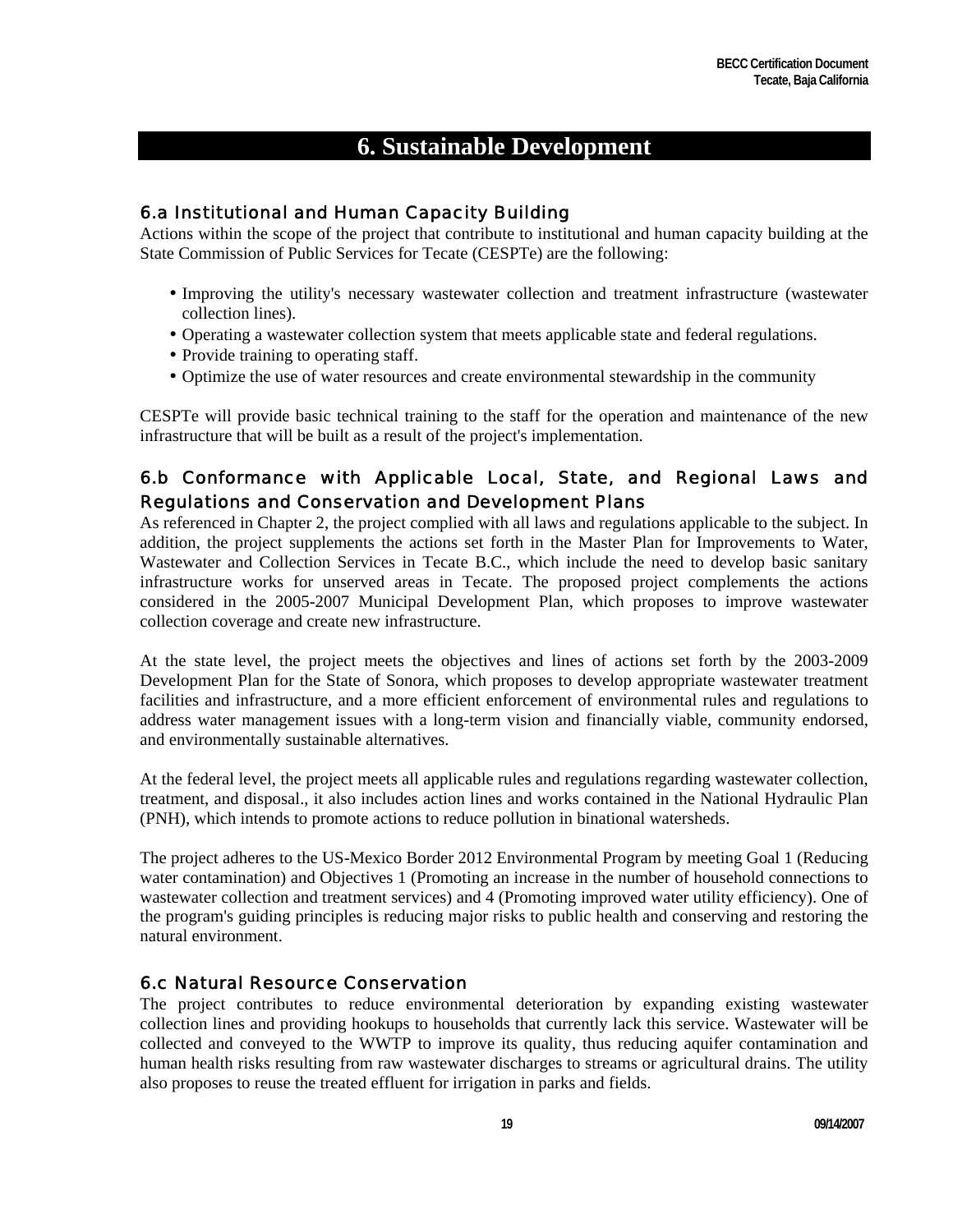# **6. Sustainable Development**

# 6.a Institutional and Human Capacity Building

Actions within the scope of the project that contribute to institutional and human capacity building at the State Commission of Public Services for Tecate (CESPTe) are the following:

- Improving the utility's necessary wastewater collection and treatment infrastructure (wastewater collection lines).
- Operating a wastewater collection system that meets applicable state and federal regulations.
- Provide training to operating staff.
- Optimize the use of water resources and create environmental stewardship in the community

CESPTe will provide basic technical training to the staff for the operation and maintenance of the new infrastructure that will be built as a result of the project's implementation.

# 6.b Conformance with Applicable Local, State, and Regional Laws and Regulations and Conservation and Development Plans

As referenced in Chapter 2, the project complied with all laws and regulations applicable to the subject. In addition, the project supplements the actions set forth in the Master Plan for Improvements to Water, Wastewater and Collection Services in Tecate B.C., which include the need to develop basic sanitary infrastructure works for unserved areas in Tecate. The proposed project complements the actions considered in the 2005-2007 Municipal Development Plan, which proposes to improve wastewater collection coverage and create new infrastructure.

At the state level, the project meets the objectives and lines of actions set forth by the 2003-2009 Development Plan for the State of Sonora, which proposes to develop appropriate wastewater treatment facilities and infrastructure, and a more efficient enforcement of environmental rules and regulations to address water management issues with a long-term vision and financially viable, community endorsed, and environmentally sustainable alternatives.

At the federal level, the project meets all applicable rules and regulations regarding wastewater collection, treatment, and disposal., it also includes action lines and works contained in the National Hydraulic Plan (PNH), which intends to promote actions to reduce pollution in binational watersheds.

The project adheres to the US-Mexico Border 2012 Environmental Program by meeting Goal 1 (Reducing water contamination) and Objectives 1 (Promoting an increase in the number of household connections to wastewater collection and treatment services) and 4 (Promoting improved water utility efficiency). One of the program's guiding principles is reducing major risks to public health and conserving and restoring the natural environment.

# 6.c Natural Resource Conservation

The project contributes to reduce environmental deterioration by expanding existing wastewater collection lines and providing hookups to households that currently lack this service. Wastewater will be collected and conveyed to the WWTP to improve its quality, thus reducing aquifer contamination and human health risks resulting from raw wastewater discharges to streams or agricultural drains. The utility also proposes to reuse the treated effluent for irrigation in parks and fields.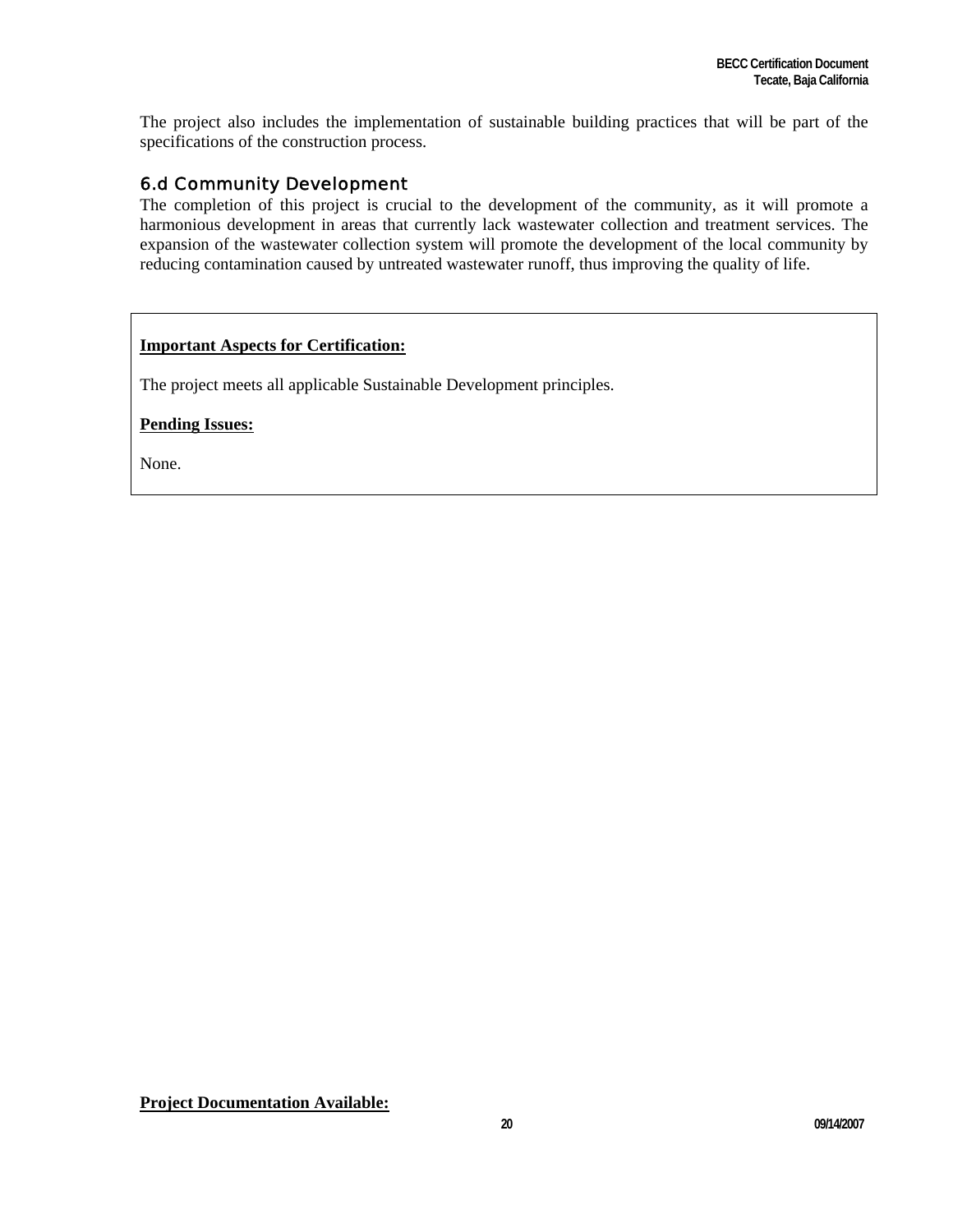The project also includes the implementation of sustainable building practices that will be part of the specifications of the construction process.

# 6.d Community Development

The completion of this project is crucial to the development of the community, as it will promote a harmonious development in areas that currently lack wastewater collection and treatment services. The expansion of the wastewater collection system will promote the development of the local community by reducing contamination caused by untreated wastewater runoff, thus improving the quality of life.

# **Important Aspects for Certification:**

The project meets all applicable Sustainable Development principles.

**Pending Issues:**